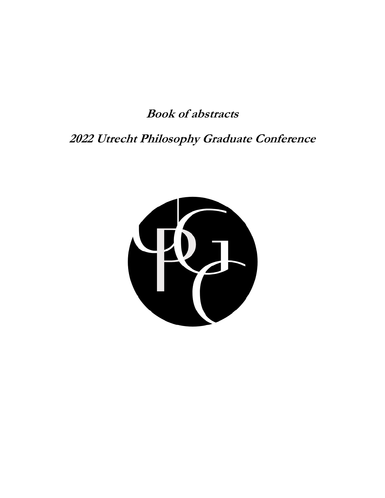**Book of abstracts** 

**2022 Utrecht Philosophy Graduate Conference**

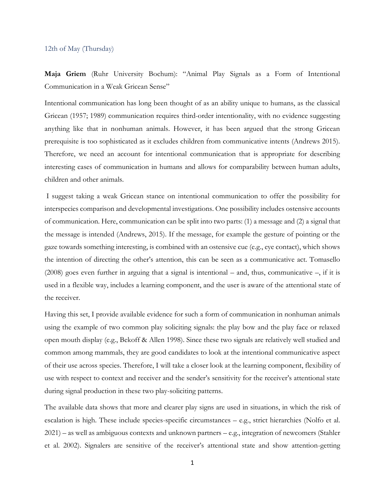#### 12th of May (Thursday)

**Maja Griem** (Ruhr University Bochum): "Animal Play Signals as a Form of Intentional Communication in a Weak Gricean Sense"

Intentional communication has long been thought of as an ability unique to humans, as the classical Gricean (1957; 1989) communication requires third-order intentionality, with no evidence suggesting anything like that in nonhuman animals. However, it has been argued that the strong Gricean prerequisite is too sophisticated as it excludes children from communicative intents (Andrews 2015). Therefore, we need an account for intentional communication that is appropriate for describing interesting cases of communication in humans and allows for comparability between human adults, children and other animals.

I suggest taking a weak Gricean stance on intentional communication to offer the possibility for interspecies comparison and developmental investigations. One possibility includes ostensive accounts of communication. Here, communication can be split into two parts: (1) a message and (2) a signal that the message is intended (Andrews, 2015). If the message, for example the gesture of pointing or the gaze towards something interesting, is combined with an ostensive cue (e.g., eye contact), which shows the intention of directing the other's attention, this can be seen as a communicative act. Tomasello (2008) goes even further in arguing that a signal is intentional – and, thus, communicative –, if it is used in a flexible way, includes a learning component, and the user is aware of the attentional state of the receiver.

Having this set, I provide available evidence for such a form of communication in nonhuman animals using the example of two common play soliciting signals: the play bow and the play face or relaxed open mouth display (e.g., Bekoff & Allen 1998). Since these two signals are relatively well studied and common among mammals, they are good candidates to look at the intentional communicative aspect of their use across species. Therefore, I will take a closer look at the learning component, flexibility of use with respect to context and receiver and the sender's sensitivity for the receiver's attentional state during signal production in these two play-soliciting patterns.

The available data shows that more and clearer play signs are used in situations, in which the risk of escalation is high. These include species-specific circumstances – e.g., strict hierarchies (Nolfo et al. 2021) – as well as ambiguous contexts and unknown partners – e.g., integration of newcomers (Stahler et al. 2002). Signalers are sensitive of the receiver's attentional state and show attention-getting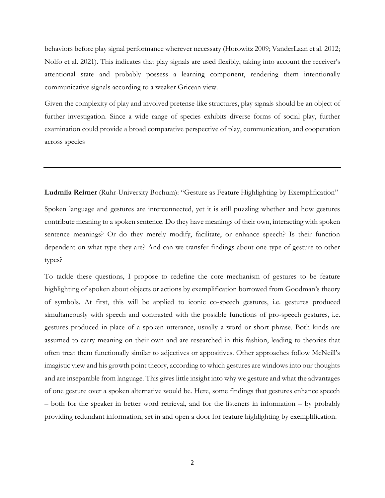behaviors before play signal performance wherever necessary (Horowitz 2009; VanderLaan et al. 2012; Nolfo et al. 2021). This indicates that play signals are used flexibly, taking into account the receiver's attentional state and probably possess a learning component, rendering them intentionally communicative signals according to a weaker Gricean view.

Given the complexity of play and involved pretense-like structures, play signals should be an object of further investigation. Since a wide range of species exhibits diverse forms of social play, further examination could provide a broad comparative perspective of play, communication, and cooperation across species

**Ludmila Reimer** (Ruhr-University Bochum): "Gesture as Feature Highlighting by Exemplification"

Spoken language and gestures are interconnected, yet it is still puzzling whether and how gestures contribute meaning to a spoken sentence. Do they have meanings of their own, interacting with spoken sentence meanings? Or do they merely modify, facilitate, or enhance speech? Is their function dependent on what type they are? And can we transfer findings about one type of gesture to other types?

To tackle these questions, I propose to redefine the core mechanism of gestures to be feature highlighting of spoken about objects or actions by exemplification borrowed from Goodman's theory of symbols. At first, this will be applied to iconic co-speech gestures, i.e. gestures produced simultaneously with speech and contrasted with the possible functions of pro-speech gestures, i.e. gestures produced in place of a spoken utterance, usually a word or short phrase. Both kinds are assumed to carry meaning on their own and are researched in this fashion, leading to theories that often treat them functionally similar to adjectives or appositives. Other approaches follow McNeill's imagistic view and his growth point theory, according to which gestures are windows into our thoughts and are inseparable from language. This gives little insight into why we gesture and what the advantages of one gesture over a spoken alternative would be. Here, some findings that gestures enhance speech – both for the speaker in better word retrieval, and for the listeners in information – by probably providing redundant information, set in and open a door for feature highlighting by exemplification.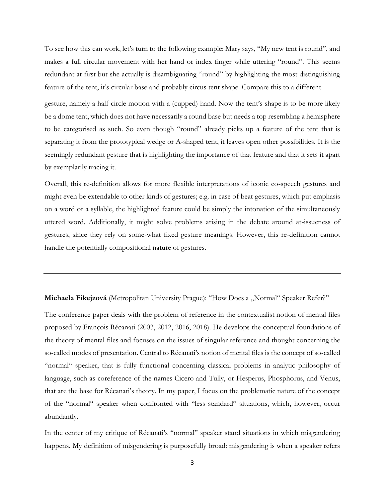To see how this can work, let's turn to the following example: Mary says, "My new tent is round", and makes a full circular movement with her hand or index finger while uttering "round". This seems redundant at first but she actually is disambiguating "round" by highlighting the most distinguishing feature of the tent, it's circular base and probably circus tent shape. Compare this to a different

gesture, namely a half-circle motion with a (cupped) hand. Now the tent's shape is to be more likely be a dome tent, which does not have necessarily a round base but needs a top resembling a hemisphere to be categorised as such. So even though "round" already picks up a feature of the tent that is separating it from the prototypical wedge or A-shaped tent, it leaves open other possibilities. It is the seemingly redundant gesture that is highlighting the importance of that feature and that it sets it apart by exemplarily tracing it.

Overall, this re-definition allows for more flexible interpretations of iconic co-speech gestures and might even be extendable to other kinds of gestures; e.g. in case of beat gestures, which put emphasis on a word or a syllable, the highlighted feature could be simply the intonation of the simultaneously uttered word. Additionally, it might solve problems arising in the debate around at-issueness of gestures, since they rely on some-what fixed gesture meanings. However, this re-definition cannot handle the potentially compositional nature of gestures.

Michaela Fikejzová (Metropolitan University Prague): "How Does a "Normal" Speaker Refer?"

The conference paper deals with the problem of reference in the contextualist notion of mental files proposed by François Récanati (2003, 2012, 2016, 2018). He develops the conceptual foundations of the theory of mental files and focuses on the issues of singular reference and thought concerning the so-called modes of presentation. Central to Récanati's notion of mental files is the concept of so-called "normal" speaker, that is fully functional concerning classical problems in analytic philosophy of language, such as coreference of the names Cicero and Tully, or Hesperus, Phosphorus, and Venus, that are the base for Récanati's theory. In my paper, I focus on the problematic nature of the concept of the "normal" speaker when confronted with "less standard" situations, which, however, occur abundantly.

In the center of my critique of Récanati's "normal" speaker stand situations in which misgendering happens. My definition of misgendering is purposefully broad: misgendering is when a speaker refers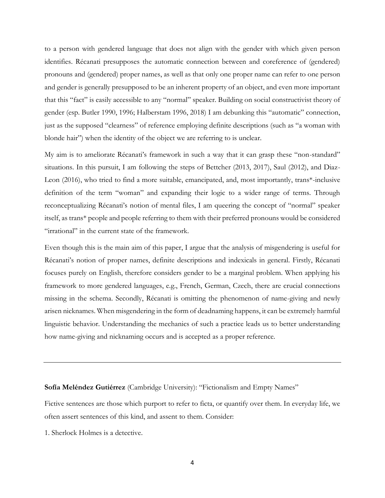to a person with gendered language that does not align with the gender with which given person identifies. Récanati presupposes the automatic connection between and coreference of (gendered) pronouns and (gendered) proper names, as well as that only one proper name can refer to one person and gender is generally presupposed to be an inherent property of an object, and even more important that this "fact" is easily accessible to any "normal" speaker. Building on social constructivist theory of gender (esp. Butler 1990, 1996; Halberstam 1996, 2018) I am debunking this "automatic" connection, just as the supposed "clearness" of reference employing definite descriptions (such as "a woman with blonde hair") when the identity of the object we are referring to is unclear.

My aim is to ameliorate Récanati's framework in such a way that it can grasp these "non-standard" situations. In this pursuit, I am following the steps of Bettcher (2013, 2017), Saul (2012), and Diaz-Leon (2016), who tried to find a more suitable, emancipated, and, most importantly, trans\*-inclusive definition of the term "woman" and expanding their logic to a wider range of terms. Through reconceptualizing Récanati's notion of mental files, I am queering the concept of "normal" speaker itself, as trans\* people and people referring to them with their preferred pronouns would be considered "irrational" in the current state of the framework.

Even though this is the main aim of this paper, I argue that the analysis of misgendering is useful for Récanati's notion of proper names, definite descriptions and indexicals in general. Firstly, Récanati focuses purely on English, therefore considers gender to be a marginal problem. When applying his framework to more gendered languages, e.g., French, German, Czech, there are crucial connections missing in the schema. Secondly, Récanati is omitting the phenomenon of name-giving and newly arisen nicknames. When misgendering in the form of deadnaming happens, it can be extremely harmful linguistic behavior. Understanding the mechanics of such a practice leads us to better understanding how name-giving and nicknaming occurs and is accepted as a proper reference.

#### **Sofía Meléndez Gutiérrez** (Cambridge University): "Fictionalism and Empty Names"

Fictive sentences are those which purport to refer to ficta, or quantify over them. In everyday life, we often assert sentences of this kind, and assent to them. Consider:

1. Sherlock Holmes is a detective.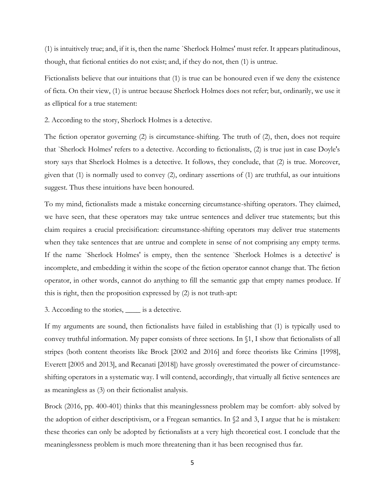(1) is intuitively true; and, if it is, then the name `Sherlock Holmes' must refer. It appears platitudinous, though, that fictional entities do not exist; and, if they do not, then (1) is untrue.

Fictionalists believe that our intuitions that (1) is true can be honoured even if we deny the existence of ficta. On their view, (1) is untrue because Sherlock Holmes does not refer; but, ordinarily, we use it as elliptical for a true statement:

2. According to the story, Sherlock Holmes is a detective.

The fiction operator governing (2) is circumstance-shifting. The truth of (2), then, does not require that `Sherlock Holmes' refers to a detective. According to fictionalists, (2) is true just in case Doyle's story says that Sherlock Holmes is a detective. It follows, they conclude, that (2) is true. Moreover, given that (1) is normally used to convey (2), ordinary assertions of (1) are truthful, as our intuitions suggest. Thus these intuitions have been honoured.

To my mind, fictionalists made a mistake concerning circumstance-shifting operators. They claimed, we have seen, that these operators may take untrue sentences and deliver true statements; but this claim requires a crucial precisification: circumstance-shifting operators may deliver true statements when they take sentences that are untrue and complete in sense of not comprising any empty terms. If the name `Sherlock Holmes' is empty, then the sentence `Sherlock Holmes is a detective' is incomplete, and embedding it within the scope of the fiction operator cannot change that. The fiction operator, in other words, cannot do anything to fill the semantic gap that empty names produce. If this is right, then the proposition expressed by (2) is not truth-apt:

### 3. According to the stories, \_\_\_\_ is a detective.

If my arguments are sound, then fictionalists have failed in establishing that (1) is typically used to convey truthful information. My paper consists of three sections. In §1, I show that fictionalists of all stripes (both content theorists like Brock [2002 and 2016] and force theorists like Crimins [1998], Everett [2005 and 2013], and Recanati [2018]) have grossly overestimated the power of circumstanceshifting operators in a systematic way. I will contend, accordingly, that virtually all fictive sentences are as meaningless as (3) on their fictionalist analysis.

Brock (2016, pp. 400-401) thinks that this meaninglessness problem may be comfort- ably solved by the adoption of either descriptivism, or a Fregean semantics. In §2 and 3, I argue that he is mistaken: these theories can only be adopted by fictionalists at a very high theoretical cost. I conclude that the meaninglessness problem is much more threatening than it has been recognised thus far.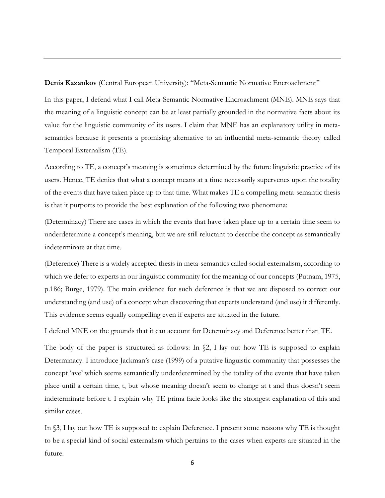**Denis Kazankov** (Central European University): "Meta-Semantic Normative Encroachment"

In this paper, I defend what I call Meta-Semantic Normative Encroachment (MNE). MNE says that the meaning of a linguistic concept can be at least partially grounded in the normative facts about its value for the linguistic community of its users. I claim that MNE has an explanatory utility in metasemantics because it presents a promising alternative to an influential meta-semantic theory called Temporal Externalism (TE).

According to TE, a concept's meaning is sometimes determined by the future linguistic practice of its users. Hence, TE denies that what a concept means at a time necessarily supervenes upon the totality of the events that have taken place up to that time. What makes TE a compelling meta-semantic thesis is that it purports to provide the best explanation of the following two phenomena:

(Determinacy) There are cases in which the events that have taken place up to a certain time seem to underdetermine a concept's meaning, but we are still reluctant to describe the concept as semantically indeterminate at that time.

(Deference) There is a widely accepted thesis in meta-semantics called social externalism, according to which we defer to experts in our linguistic community for the meaning of our concepts (Putnam, 1975, p.186; Burge, 1979). The main evidence for such deference is that we are disposed to correct our understanding (and use) of a concept when discovering that experts understand (and use) it differently. This evidence seems equally compelling even if experts are situated in the future.

I defend MNE on the grounds that it can account for Determinacy and Deference better than TE.

The body of the paper is structured as follows: In  $\S$ 2, I lay out how TE is supposed to explain Determinacy. I introduce Jackman's case (1999) of a putative linguistic community that possesses the concept 'ave' which seems semantically underdetermined by the totality of the events that have taken place until a certain time, t, but whose meaning doesn't seem to change at t and thus doesn't seem indeterminate before t. I explain why TE prima facie looks like the strongest explanation of this and similar cases.

In §3, I lay out how TE is supposed to explain Deference. I present some reasons why TE is thought to be a special kind of social externalism which pertains to the cases when experts are situated in the future.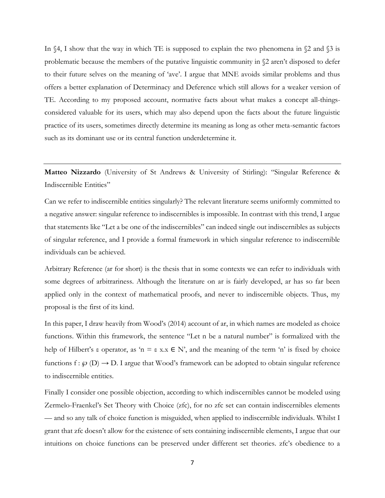In  $\S4$ , I show that the way in which TE is supposed to explain the two phenomena in  $\S2$  and  $\S3$  is problematic because the members of the putative linguistic community in  $\S2$  aren't disposed to defer to their future selves on the meaning of 'ave'. I argue that MNE avoids similar problems and thus offers a better explanation of Determinacy and Deference which still allows for a weaker version of TE. According to my proposed account, normative facts about what makes a concept all-thingsconsidered valuable for its users, which may also depend upon the facts about the future linguistic practice of its users, sometimes directly determine its meaning as long as other meta-semantic factors such as its dominant use or its central function underdetermine it.

**Matteo Nizzardo** (University of St Andrews & University of Stirling): "Singular Reference & Indiscernible Entities"

Can we refer to indiscernible entities singularly? The relevant literature seems uniformly committed to a negative answer: singular reference to indiscernibles is impossible. In contrast with this trend, I argue that statements like "Let a be one of the indiscernibles" can indeed single out indiscernibles as subjects of singular reference, and I provide a formal framework in which singular reference to indiscernible individuals can be achieved.

Arbitrary Reference (ar for short) is the thesis that in some contexts we can refer to individuals with some degrees of arbitrariness. Although the literature on ar is fairly developed, ar has so far been applied only in the context of mathematical proofs, and never to indiscernible objects. Thus, my proposal is the first of its kind.

In this paper, I draw heavily from Wood's (2014) account of ar, in which names are modeled as choice functions. Within this framework, the sentence "Let n be a natural number" is formalized with the help of Hilbert's  $\varepsilon$  operator, as 'n =  $\varepsilon$  x.x  $\in$  N', and the meaning of the term 'n' is fixed by choice functions f:  $\wp$  (D)  $\rightarrow$  D. I argue that Wood's framework can be adopted to obtain singular reference to indiscernible entities.

Finally I consider one possible objection, according to which indiscernibles cannot be modeled using Zermelo-Fraenkel's Set Theory with Choice (zfc), for no zfc set can contain indiscernibles elements — and so any talk of choice function is misguided, when applied to indiscernible individuals. Whilst I grant that zfc doesn't allow for the existence of sets containing indiscernible elements, I argue that our intuitions on choice functions can be preserved under different set theories. zfc's obedience to a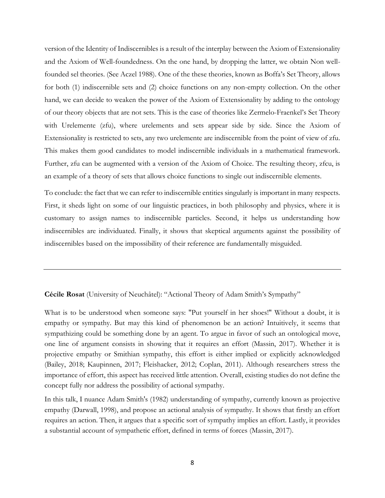version of the Identity of Indiscernibles is a result of the interplay between the Axiom of Extensionality and the Axiom of Well-foundedness. On the one hand, by dropping the latter, we obtain Non wellfounded sel theories. (See Aczel 1988). One of the these theories, known as Boffa's Set Theory, allows for both (1) indiscernible sets and (2) choice functions on any non-empty collection. On the other hand, we can decide to weaken the power of the Axiom of Extensionality by adding to the ontology of our theory objects that are not sets. This is the case of theories like Zermelo-Fraenkel's Set Theory with Urelemente (zfu), where urelements and sets appear side by side. Since the Axiom of Extensionality is restricted to sets, any two urelemente are indiscernible from the point of view of zfu. This makes them good candidates to model indiscernible individuals in a mathematical framework. Further, zfu can be augmented with a version of the Axiom of Choice. The resulting theory, zfcu, is an example of a theory of sets that allows choice functions to single out indiscernible elements.

To conclude: the fact that we can refer to indiscernible entities singularly is important in many respects. First, it sheds light on some of our linguistic practices, in both philosophy and physics, where it is customary to assign names to indiscernible particles. Second, it helps us understanding how indiscernibles are individuated. Finally, it shows that skeptical arguments against the possibility of indiscernibles based on the impossibility of their reference are fundamentally misguided.

**Cécile Rosat** (University of Neuchâtel): "Actional Theory of Adam Smith's Sympathy"

What is to be understood when someone says: "Put yourself in her shoes!" Without a doubt, it is empathy or sympathy. But may this kind of phenomenon be an action? Intuitively, it seems that sympathizing could be something done by an agent. To argue in favor of such an ontological move, one line of argument consists in showing that it requires an effort (Massin, 2017). Whether it is projective empathy or Smithian sympathy, this effort is either implied or explicitly acknowledged (Bailey, 2018; Kaupinnen, 2017; Fleishacker, 2012; Coplan, 2011). Although researchers stress the importance of effort, this aspect has received little attention. Overall, existing studies do not define the concept fully nor address the possibility of actional sympathy.

In this talk, I nuance Adam Smith's (1982) understanding of sympathy, currently known as projective empathy (Darwall, 1998), and propose an actional analysis of sympathy. It shows that firstly an effort requires an action. Then, it argues that a specific sort of sympathy implies an effort. Lastly, it provides a substantial account of sympathetic effort, defined in terms of forces (Massin, 2017).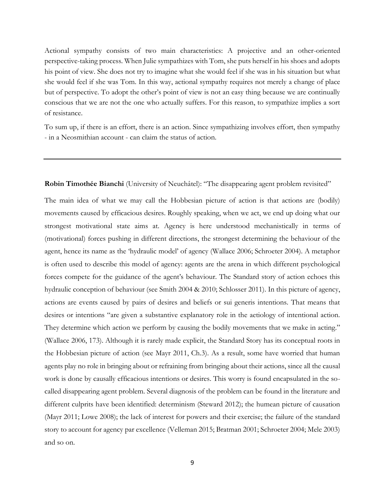Actional sympathy consists of two main characteristics: A projective and an other-oriented perspective-taking process. When Julie sympathizes with Tom, she puts herself in his shoes and adopts his point of view. She does not try to imagine what she would feel if she was in his situation but what she would feel if she was Tom. In this way, actional sympathy requires not merely a change of place but of perspective. To adopt the other's point of view is not an easy thing because we are continually conscious that we are not the one who actually suffers. For this reason, to sympathize implies a sort of resistance.

To sum up, if there is an effort, there is an action. Since sympathizing involves effort, then sympathy - in a Neosmithian account - can claim the status of action.

#### **Robin Timothée Bianchi** (University of Neuchâtel): "The disappearing agent problem revisited"

The main idea of what we may call the Hobbesian picture of action is that actions are (bodily) movements caused by efficacious desires. Roughly speaking, when we act, we end up doing what our strongest motivational state aims at. Agency is here understood mechanistically in terms of (motivational) forces pushing in different directions, the strongest determining the behaviour of the agent, hence its name as the 'hydraulic model' of agency (Wallace 2006; Schroeter 2004). A metaphor is often used to describe this model of agency: agents are the arena in which different psychological forces compete for the guidance of the agent's behaviour. The Standard story of action echoes this hydraulic conception of behaviour (see Smith 2004 & 2010; Schlosser 2011). In this picture of agency, actions are events caused by pairs of desires and beliefs or sui generis intentions. That means that desires or intentions "are given a substantive explanatory role in the aetiology of intentional action. They determine which action we perform by causing the bodily movements that we make in acting." (Wallace 2006, 173). Although it is rarely made explicit, the Standard Story has its conceptual roots in the Hobbesian picture of action (see Mayr 2011, Ch.3). As a result, some have worried that human agents play no role in bringing about or refraining from bringing about their actions, since all the causal work is done by causally efficacious intentions or desires. This worry is found encapsulated in the socalled disappearing agent problem. Several diagnosis of the problem can be found in the literature and different culprits have been identified: determinism (Steward 2012); the humean picture of causation (Mayr 2011; Lowe 2008); the lack of interest for powers and their exercise; the failure of the standard story to account for agency par excellence (Velleman 2015; Bratman 2001; Schroeter 2004; Mele 2003) and so on.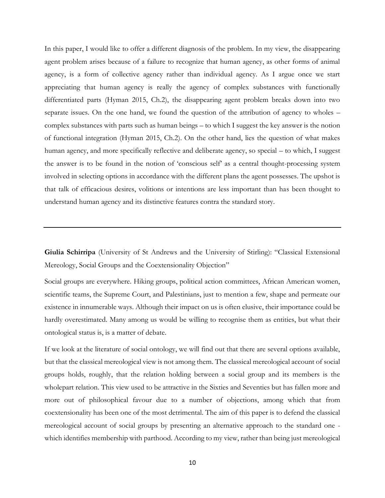In this paper, I would like to offer a different diagnosis of the problem. In my view, the disappearing agent problem arises because of a failure to recognize that human agency, as other forms of animal agency, is a form of collective agency rather than individual agency. As I argue once we start appreciating that human agency is really the agency of complex substances with functionally differentiated parts (Hyman 2015, Ch.2), the disappearing agent problem breaks down into two separate issues. On the one hand, we found the question of the attribution of agency to wholes – complex substances with parts such as human beings – to which I suggest the key answer is the notion of functional integration (Hyman 2015, Ch.2). On the other hand, lies the question of what makes human agency, and more specifically reflective and deliberate agency, so special – to which, I suggest the answer is to be found in the notion of 'conscious self' as a central thought-processing system involved in selecting options in accordance with the different plans the agent possesses. The upshot is that talk of efficacious desires, volitions or intentions are less important than has been thought to understand human agency and its distinctive features contra the standard story.

**Giulia Schirripa** (University of St Andrews and the University of Stirling): "Classical Extensional Mereology, Social Groups and the Coextensionality Objection"

Social groups are everywhere. Hiking groups, political action committees, African American women, scientific teams, the Supreme Court, and Palestinians, just to mention a few, shape and permeate our existence in innumerable ways. Although their impact on us is often elusive, their importance could be hardly overestimated. Many among us would be willing to recognise them as entities, but what their ontological status is, is a matter of debate.

If we look at the literature of social ontology, we will find out that there are several options available, but that the classical mereological view is not among them. The classical mereological account of social groups holds, roughly, that the relation holding between a social group and its members is the wholepart relation. This view used to be attractive in the Sixties and Seventies but has fallen more and more out of philosophical favour due to a number of objections, among which that from coextensionality has been one of the most detrimental. The aim of this paper is to defend the classical mereological account of social groups by presenting an alternative approach to the standard one which identifies membership with parthood. According to my view, rather than being just mereological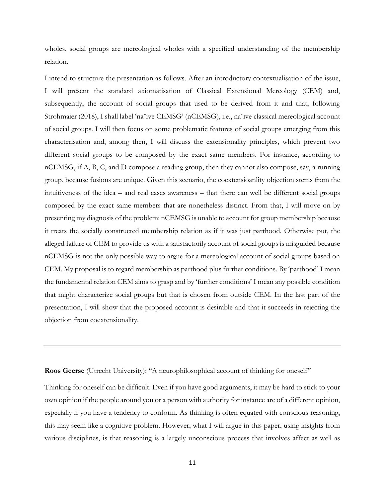wholes, social groups are mereological wholes with a specified understanding of the membership relation.

I intend to structure the presentation as follows. After an introductory contextualisation of the issue, I will present the standard axiomatisation of Classical Extensional Mereology (CEM) and, subsequently, the account of social groups that used to be derived from it and that, following Strohmaier (2018), I shall label 'na¨ıve CEMSG' (nCEMSG), i.e., na¨ıve classical mereological account of social groups. I will then focus on some problematic features of social groups emerging from this characterisation and, among then, I will discuss the extensionality principles, which prevent two different social groups to be composed by the exact same members. For instance, according to nCEMSG, if A, B, C, and D compose a reading group, then they cannot also compose, say, a running group, because fusions are unique. Given this scenario, the coextensioanlity objection stems from the intuitiveness of the idea – and real cases awareness – that there can well be different social groups composed by the exact same members that are nonetheless distinct. From that, I will move on by presenting my diagnosis of the problem: nCEMSG is unable to account for group membership because it treats the socially constructed membership relation as if it was just parthood. Otherwise put, the alleged failure of CEM to provide us with a satisfactorily account of social groups is misguided because nCEMSG is not the only possible way to argue for a mereological account of social groups based on CEM. My proposal is to regard membership as parthood plus further conditions. By 'parthood' I mean the fundamental relation CEM aims to grasp and by 'further conditions' I mean any possible condition that might characterize social groups but that is chosen from outside CEM. In the last part of the presentation, I will show that the proposed account is desirable and that it succeeds in rejecting the objection from coextensionality.

**Roos Geerse** (Utrecht University): "A neurophilosophical account of thinking for oneself"

Thinking for oneself can be difficult. Even if you have good arguments, it may be hard to stick to your own opinion if the people around you or a person with authority for instance are of a different opinion, especially if you have a tendency to conform. As thinking is often equated with conscious reasoning, this may seem like a cognitive problem. However, what I will argue in this paper, using insights from various disciplines, is that reasoning is a largely unconscious process that involves affect as well as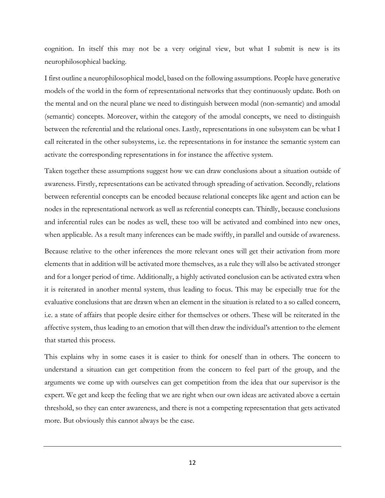cognition. In itself this may not be a very original view, but what I submit is new is its neurophilosophical backing.

I first outline a neurophilosophical model, based on the following assumptions. People have generative models of the world in the form of representational networks that they continuously update. Both on the mental and on the neural plane we need to distinguish between modal (non-semantic) and amodal (semantic) concepts. Moreover, within the category of the amodal concepts, we need to distinguish between the referential and the relational ones. Lastly, representations in one subsystem can be what I call reiterated in the other subsystems, i.e. the representations in for instance the semantic system can activate the corresponding representations in for instance the affective system.

Taken together these assumptions suggest how we can draw conclusions about a situation outside of awareness. Firstly, representations can be activated through spreading of activation. Secondly, relations between referential concepts can be encoded because relational concepts like agent and action can be nodes in the representational network as well as referential concepts can. Thirdly, because conclusions and inferential rules can be nodes as well, these too will be activated and combined into new ones, when applicable. As a result many inferences can be made swiftly, in parallel and outside of awareness.

Because relative to the other inferences the more relevant ones will get their activation from more elements that in addition will be activated more themselves, as a rule they will also be activated stronger and for a longer period of time. Additionally, a highly activated conclusion can be activated extra when it is reiterated in another mental system, thus leading to focus. This may be especially true for the evaluative conclusions that are drawn when an element in the situation is related to a so called concern, i.e. a state of affairs that people desire either for themselves or others. These will be reiterated in the affective system, thus leading to an emotion that will then draw the individual's attention to the element that started this process.

This explains why in some cases it is easier to think for oneself than in others. The concern to understand a situation can get competition from the concern to feel part of the group, and the arguments we come up with ourselves can get competition from the idea that our supervisor is the expert. We get and keep the feeling that we are right when our own ideas are activated above a certain threshold, so they can enter awareness, and there is not a competing representation that gets activated more. But obviously this cannot always be the case.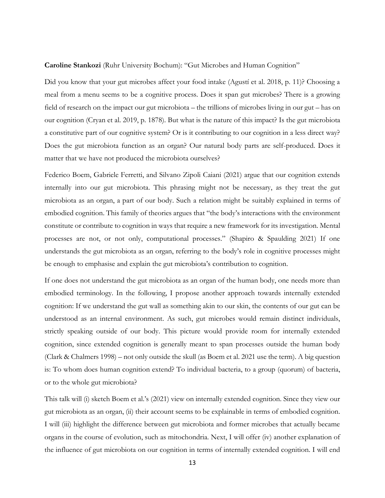**Caroline Stankozi** (Ruhr University Bochum): "Gut Microbes and Human Cognition"

Did you know that your gut microbes affect your food intake (Agustí et al. 2018, p. 11)? Choosing a meal from a menu seems to be a cognitive process. Does it span gut microbes? There is a growing field of research on the impact our gut microbiota – the trillions of microbes living in our gut – has on our cognition (Cryan et al. 2019, p. 1878). But what is the nature of this impact? Is the gut microbiota a constitutive part of our cognitive system? Or is it contributing to our cognition in a less direct way? Does the gut microbiota function as an organ? Our natural body parts are self-produced. Does it matter that we have not produced the microbiota ourselves?

Federico Boem, Gabriele Ferretti, and Silvano Zipoli Caiani (2021) argue that our cognition extends internally into our gut microbiota. This phrasing might not be necessary, as they treat the gut microbiota as an organ, a part of our body. Such a relation might be suitably explained in terms of embodied cognition. This family of theories argues that "the body's interactions with the environment constitute or contribute to cognition in ways that require a new framework for its investigation. Mental processes are not, or not only, computational processes." (Shapiro & Spaulding 2021) If one understands the gut microbiota as an organ, referring to the body's role in cognitive processes might be enough to emphasise and explain the gut microbiota's contribution to cognition.

If one does not understand the gut microbiota as an organ of the human body, one needs more than embodied terminology. In the following, I propose another approach towards internally extended cognition: If we understand the gut wall as something akin to our skin, the contents of our gut can be understood as an internal environment. As such, gut microbes would remain distinct individuals, strictly speaking outside of our body. This picture would provide room for internally extended cognition, since extended cognition is generally meant to span processes outside the human body (Clark & Chalmers 1998) – not only outside the skull (as Boem et al. 2021 use the term). A big question is: To whom does human cognition extend? To individual bacteria, to a group (quorum) of bacteria, or to the whole gut microbiota?

This talk will (i) sketch Boem et al.'s (2021) view on internally extended cognition. Since they view our gut microbiota as an organ, (ii) their account seems to be explainable in terms of embodied cognition. I will (iii) highlight the difference between gut microbiota and former microbes that actually became organs in the course of evolution, such as mitochondria. Next, I will offer (iv) another explanation of the influence of gut microbiota on our cognition in terms of internally extended cognition. I will end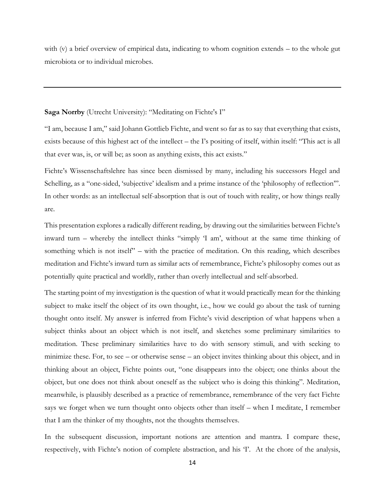with (v) a brief overview of empirical data, indicating to whom cognition extends – to the whole gut microbiota or to individual microbes.

### **Saga Norrby** (Utrecht University): "Meditating on Fichte's I"

"I am, because I am," said Johann Gottlieb Fichte, and went so far as to say that everything that exists, exists because of this highest act of the intellect – the I's positing of itself, within itself: "This act is all that ever was, is, or will be; as soon as anything exists, this act exists."

Fichte's Wissenschaftslehre has since been dismissed by many, including his successors Hegel and Schelling, as a "one-sided, 'subjective' idealism and a prime instance of the 'philosophy of reflection'". In other words: as an intellectual self-absorption that is out of touch with reality, or how things really are.

This presentation explores a radically different reading, by drawing out the similarities between Fichte's inward turn – whereby the intellect thinks "simply 'I am', without at the same time thinking of something which is not itself" – with the practice of meditation. On this reading, which describes meditation and Fichte's inward turn as similar acts of remembrance, Fichte's philosophy comes out as potentially quite practical and worldly, rather than overly intellectual and self-absorbed.

The starting point of my investigation is the question of what it would practically mean for the thinking subject to make itself the object of its own thought, i.e., how we could go about the task of turning thought onto itself. My answer is inferred from Fichte's vivid description of what happens when a subject thinks about an object which is not itself, and sketches some preliminary similarities to meditation. These preliminary similarities have to do with sensory stimuli, and with seeking to minimize these. For, to see – or otherwise sense – an object invites thinking about this object, and in thinking about an object, Fichte points out, "one disappears into the object; one thinks about the object, but one does not think about oneself as the subject who is doing this thinking". Meditation, meanwhile, is plausibly described as a practice of remembrance, remembrance of the very fact Fichte says we forget when we turn thought onto objects other than itself – when I meditate, I remember that I am the thinker of my thoughts, not the thoughts themselves.

In the subsequent discussion, important notions are attention and mantra. I compare these, respectively, with Fichte's notion of complete abstraction, and his 'I'. At the chore of the analysis,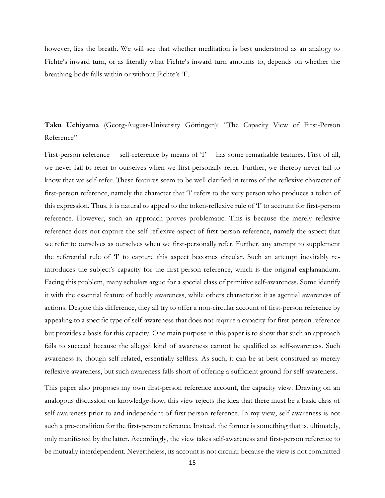however, lies the breath. We will see that whether meditation is best understood as an analogy to Fichte's inward turn, or as literally what Fichte's inward turn amounts to, depends on whether the breathing body falls within or without Fichte's 'I'.

**Taku Uchiyama** (Georg-August-University Göttingen): "The Capacity View of First-Person Reference"

First-person reference —self-reference by means of 'I'— has some remarkable features. First of all, we never fail to refer to ourselves when we first-personally refer. Further, we thereby never fail to know that we self-refer. These features seem to be well clarified in terms of the reflexive character of first-person reference, namely the character that 'I' refers to the very person who produces a token of this expression. Thus, it is natural to appeal to the token-reflexive rule of 'I' to account for first-person reference. However, such an approach proves problematic. This is because the merely reflexive reference does not capture the self-reflexive aspect of first-person reference, namely the aspect that we refer to ourselves as ourselves when we first-personally refer. Further, any attempt to supplement the referential rule of 'I' to capture this aspect becomes circular. Such an attempt inevitably reintroduces the subject's capacity for the first-person reference, which is the original explanandum. Facing this problem, many scholars argue for a special class of primitive self-awareness. Some identify it with the essential feature of bodily awareness, while others characterize it as agential awareness of actions. Despite this difference, they all try to offer a non-circular account of first-person reference by appealing to a specific type of self-awareness that does not require a capacity for first-person reference but provides a basis for this capacity. One main purpose in this paper is to show that such an approach fails to succeed because the alleged kind of awareness cannot be qualified as self-awareness. Such awareness is, though self-related, essentially selfless. As such, it can be at best construed as merely reflexive awareness, but such awareness falls short of offering a sufficient ground for self-awareness.

This paper also proposes my own first-person reference account, the capacity view. Drawing on an analogous discussion on knowledge-how, this view rejects the idea that there must be a basic class of self-awareness prior to and independent of first-person reference. In my view, self-awareness is not such a pre-condition for the first-person reference. Instead, the former is something that is, ultimately, only manifested by the latter. Accordingly, the view takes self-awareness and first-person reference to be mutually interdependent. Nevertheless, its account is not circular because the view is not committed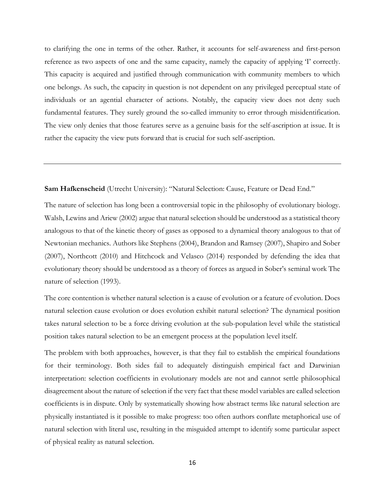to clarifying the one in terms of the other. Rather, it accounts for self-awareness and first-person reference as two aspects of one and the same capacity, namely the capacity of applying 'I' correctly. This capacity is acquired and justified through communication with community members to which one belongs. As such, the capacity in question is not dependent on any privileged perceptual state of individuals or an agential character of actions. Notably, the capacity view does not deny such fundamental features. They surely ground the so-called immunity to error through misidentification. The view only denies that those features serve as a genuine basis for the self-ascription at issue. It is rather the capacity the view puts forward that is crucial for such self-ascription.

#### **Sam Hafkenscheid** (Utrecht University): "Natural Selection: Cause, Feature or Dead End."

The nature of selection has long been a controversial topic in the philosophy of evolutionary biology. Walsh, Lewins and Ariew (2002) argue that natural selection should be understood as a statistical theory analogous to that of the kinetic theory of gases as opposed to a dynamical theory analogous to that of Newtonian mechanics. Authors like Stephens (2004), Brandon and Ramsey (2007), Shapiro and Sober (2007), Northcott (2010) and Hitchcock and Velasco (2014) responded by defending the idea that evolutionary theory should be understood as a theory of forces as argued in Sober's seminal work The nature of selection (1993).

The core contention is whether natural selection is a cause of evolution or a feature of evolution. Does natural selection cause evolution or does evolution exhibit natural selection? The dynamical position takes natural selection to be a force driving evolution at the sub-population level while the statistical position takes natural selection to be an emergent process at the population level itself.

The problem with both approaches, however, is that they fail to establish the empirical foundations for their terminology. Both sides fail to adequately distinguish empirical fact and Darwinian interpretation: selection coefficients in evolutionary models are not and cannot settle philosophical disagreement about the nature of selection if the very fact that these model variables are called selection coefficients is in dispute. Only by systematically showing how abstract terms like natural selection are physically instantiated is it possible to make progress: too often authors conflate metaphorical use of natural selection with literal use, resulting in the misguided attempt to identify some particular aspect of physical reality as natural selection.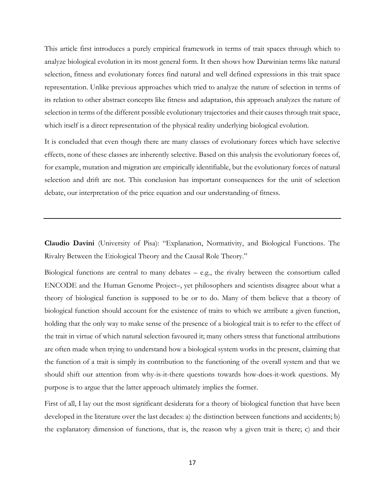This article first introduces a purely empirical framework in terms of trait spaces through which to analyze biological evolution in its most general form. It then shows how Darwinian terms like natural selection, fitness and evolutionary forces find natural and well defined expressions in this trait space representation. Unlike previous approaches which tried to analyze the nature of selection in terms of its relation to other abstract concepts like fitness and adaptation, this approach analyzes the nature of selection in terms of the different possible evolutionary trajectories and their causes through trait space, which itself is a direct representation of the physical reality underlying biological evolution.

It is concluded that even though there are many classes of evolutionary forces which have selective effects, none of these classes are inherently selective. Based on this analysis the evolutionary forces of, for example, mutation and migration are empirically identifiable, but the evolutionary forces of natural selection and drift are not. This conclusion has important consequences for the unit of selection debate, our interpretation of the price equation and our understanding of fitness.

**Claudio Davini** (University of Pisa): "Explanation, Normativity, and Biological Functions. The Rivalry Between the Etiological Theory and the Causal Role Theory."

Biological functions are central to many debates – e.g., the rivalry between the consortium called ENCODE and the Human Genome Project–, yet philosophers and scientists disagree about what a theory of biological function is supposed to be or to do. Many of them believe that a theory of biological function should account for the existence of traits to which we attribute a given function, holding that the only way to make sense of the presence of a biological trait is to refer to the effect of the trait in virtue of which natural selection favoured it; many others stress that functional attributions are often made when trying to understand how a biological system works in the present, claiming that the function of a trait is simply its contribution to the functioning of the overall system and that we should shift our attention from why-is-it-there questions towards how-does-it-work questions. My purpose is to argue that the latter approach ultimately implies the former.

First of all, I lay out the most significant desiderata for a theory of biological function that have been developed in the literature over the last decades: a) the distinction between functions and accidents; b) the explanatory dimension of functions, that is, the reason why a given trait is there; c) and their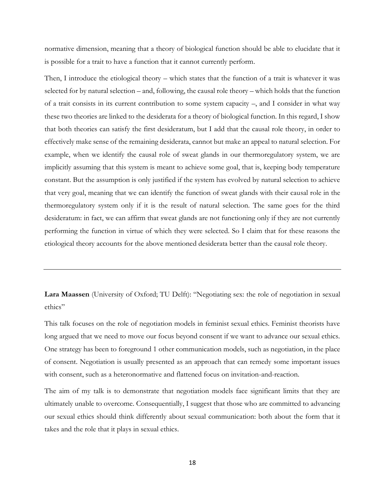normative dimension, meaning that a theory of biological function should be able to elucidate that it is possible for a trait to have a function that it cannot currently perform.

Then, I introduce the etiological theory – which states that the function of a trait is whatever it was selected for by natural selection – and, following, the causal role theory – which holds that the function of a trait consists in its current contribution to some system capacity –, and I consider in what way these two theories are linked to the desiderata for a theory of biological function. In this regard, I show that both theories can satisfy the first desideratum, but I add that the causal role theory, in order to effectively make sense of the remaining desiderata, cannot but make an appeal to natural selection. For example, when we identify the causal role of sweat glands in our thermoregulatory system, we are implicitly assuming that this system is meant to achieve some goal, that is, keeping body temperature constant. But the assumption is only justified if the system has evolved by natural selection to achieve that very goal, meaning that we can identify the function of sweat glands with their causal role in the thermoregulatory system only if it is the result of natural selection. The same goes for the third desideratum: in fact, we can affirm that sweat glands are not functioning only if they are not currently performing the function in virtue of which they were selected. So I claim that for these reasons the etiological theory accounts for the above mentioned desiderata better than the causal role theory.

**Lara Maassen** (University of Oxford; TU Delft): "Negotiating sex: the role of negotiation in sexual ethics"

This talk focuses on the role of negotiation models in feminist sexual ethics. Feminist theorists have long argued that we need to move our focus beyond consent if we want to advance our sexual ethics. One strategy has been to foreground 1 other communication models, such as negotiation, in the place of consent. Negotiation is usually presented as an approach that can remedy some important issues with consent, such as a heteronormative and flattened focus on invitation-and-reaction.

The aim of my talk is to demonstrate that negotiation models face significant limits that they are ultimately unable to overcome. Consequentially, I suggest that those who are committed to advancing our sexual ethics should think differently about sexual communication: both about the form that it takes and the role that it plays in sexual ethics.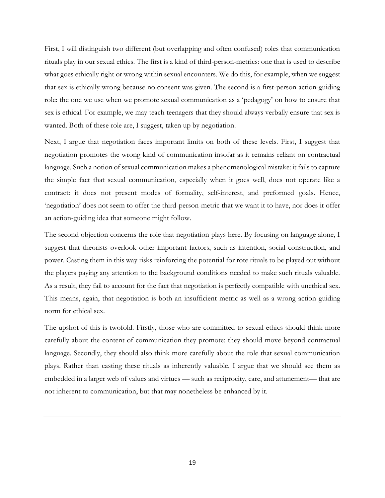First, I will distinguish two different (but overlapping and often confused) roles that communication rituals play in our sexual ethics. The first is a kind of third-person-metrics: one that is used to describe what goes ethically right or wrong within sexual encounters. We do this, for example, when we suggest that sex is ethically wrong because no consent was given. The second is a first-person action-guiding role: the one we use when we promote sexual communication as a 'pedagogy' on how to ensure that sex is ethical. For example, we may teach teenagers that they should always verbally ensure that sex is wanted. Both of these role are, I suggest, taken up by negotiation.

Next, I argue that negotiation faces important limits on both of these levels. First, I suggest that negotiation promotes the wrong kind of communication insofar as it remains reliant on contractual language. Such a notion of sexual communication makes a phenomenological mistake: it fails to capture the simple fact that sexual communication, especially when it goes well, does not operate like a contract: it does not present modes of formality, self-interest, and preformed goals. Hence, 'negotiation' does not seem to offer the third-person-metric that we want it to have, nor does it offer an action-guiding idea that someone might follow.

The second objection concerns the role that negotiation plays here. By focusing on language alone, I suggest that theorists overlook other important factors, such as intention, social construction, and power. Casting them in this way risks reinforcing the potential for rote rituals to be played out without the players paying any attention to the background conditions needed to make such rituals valuable. As a result, they fail to account for the fact that negotiation is perfectly compatible with unethical sex. This means, again, that negotiation is both an insufficient metric as well as a wrong action-guiding norm for ethical sex.

The upshot of this is twofold. Firstly, those who are committed to sexual ethics should think more carefully about the content of communication they promote: they should move beyond contractual language. Secondly, they should also think more carefully about the role that sexual communication plays. Rather than casting these rituals as inherently valuable, I argue that we should see them as embedded in a larger web of values and virtues — such as reciprocity, care, and attunement— that are not inherent to communication, but that may nonetheless be enhanced by it.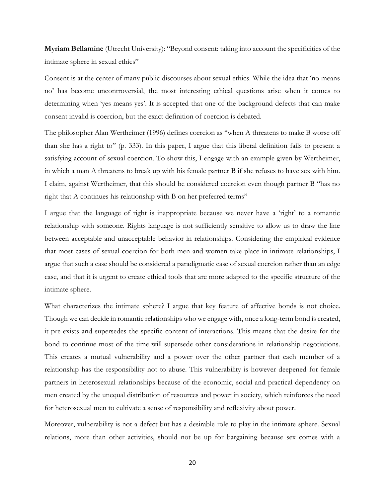**Myriam Bellamine** (Utrecht University): "Beyond consent: taking into account the specificities of the intimate sphere in sexual ethics"

Consent is at the center of many public discourses about sexual ethics. While the idea that 'no means no' has become uncontroversial, the most interesting ethical questions arise when it comes to determining when 'yes means yes'. It is accepted that one of the background defects that can make consent invalid is coercion, but the exact definition of coercion is debated.

The philosopher Alan Wertheimer (1996) defines coercion as "when A threatens to make B worse off than she has a right to" (p. 333). In this paper, I argue that this liberal definition fails to present a satisfying account of sexual coercion. To show this, I engage with an example given by Wertheimer, in which a man A threatens to break up with his female partner B if she refuses to have sex with him. I claim, against Wertheimer, that this should be considered coercion even though partner B "has no right that A continues his relationship with B on her preferred terms"

I argue that the language of right is inappropriate because we never have a 'right' to a romantic relationship with someone. Rights language is not sufficiently sensitive to allow us to draw the line between acceptable and unacceptable behavior in relationships. Considering the empirical evidence that most cases of sexual coercion for both men and women take place in intimate relationships, I argue that such a case should be considered a paradigmatic case of sexual coercion rather than an edge case, and that it is urgent to create ethical tools that are more adapted to the specific structure of the intimate sphere.

What characterizes the intimate sphere? I argue that key feature of affective bonds is not choice. Though we can decide in romantic relationships who we engage with, once a long-term bond is created, it pre-exists and supersedes the specific content of interactions. This means that the desire for the bond to continue most of the time will supersede other considerations in relationship negotiations. This creates a mutual vulnerability and a power over the other partner that each member of a relationship has the responsibility not to abuse. This vulnerability is however deepened for female partners in heterosexual relationships because of the economic, social and practical dependency on men created by the unequal distribution of resources and power in society, which reinforces the need for heterosexual men to cultivate a sense of responsibility and reflexivity about power.

Moreover, vulnerability is not a defect but has a desirable role to play in the intimate sphere. Sexual relations, more than other activities, should not be up for bargaining because sex comes with a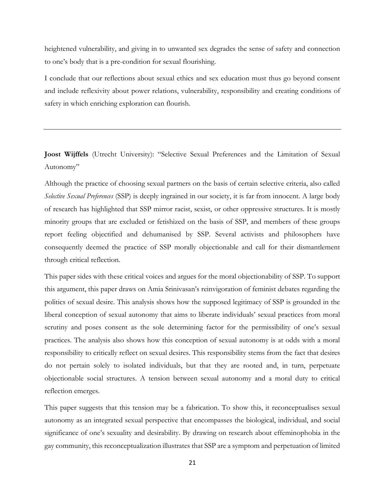heightened vulnerability, and giving in to unwanted sex degrades the sense of safety and connection to one's body that is a pre-condition for sexual flourishing.

I conclude that our reflections about sexual ethics and sex education must thus go beyond consent and include reflexivity about power relations, vulnerability, responsibility and creating conditions of safety in which enriching exploration can flourish.

**Joost Wijffels** (Utrecht University): "Selective Sexual Preferences and the Limitation of Sexual Autonomy"

Although the practice of choosing sexual partners on the basis of certain selective criteria, also called *Selective Sexual Preferences* (SSP) is deeply ingrained in our society, it is far from innocent. A large body of research has highlighted that SSP mirror racist, sexist, or other oppressive structures. It is mostly minority groups that are excluded or fetishized on the basis of SSP, and members of these groups report feeling objectified and dehumanised by SSP. Several activists and philosophers have consequently deemed the practice of SSP morally objectionable and call for their dismantlement through critical reflection.

This paper sides with these critical voices and argues for the moral objectionability of SSP. To support this argument, this paper draws on Amia Srinivasan's reinvigoration of feminist debates regarding the politics of sexual desire. This analysis shows how the supposed legitimacy of SSP is grounded in the liberal conception of sexual autonomy that aims to liberate individuals' sexual practices from moral scrutiny and poses consent as the sole determining factor for the permissibility of one's sexual practices. The analysis also shows how this conception of sexual autonomy is at odds with a moral responsibility to critically reflect on sexual desires. This responsibility stems from the fact that desires do not pertain solely to isolated individuals, but that they are rooted and, in turn, perpetuate objectionable social structures. A tension between sexual autonomy and a moral duty to critical reflection emerges.

This paper suggests that this tension may be a fabrication. To show this, it reconceptualises sexual autonomy as an integrated sexual perspective that encompasses the biological, individual, and social significance of one's sexuality and desirability. By drawing on research about effeminophobia in the gay community, this reconceptualization illustrates that SSP are a symptom and perpetuation of limited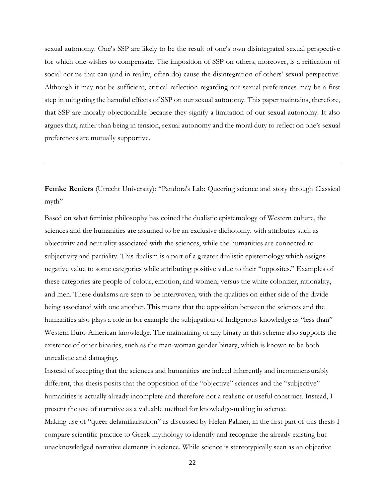sexual autonomy. One's SSP are likely to be the result of one's own disintegrated sexual perspective for which one wishes to compensate. The imposition of SSP on others, moreover, is a reification of social norms that can (and in reality, often do) cause the disintegration of others' sexual perspective. Although it may not be sufficient, critical reflection regarding our sexual preferences may be a first step in mitigating the harmful effects of SSP on our sexual autonomy. This paper maintains, therefore, that SSP are morally objectionable because they signify a limitation of our sexual autonomy. It also argues that, rather than being in tension, sexual autonomy and the moral duty to reflect on one's sexual preferences are mutually supportive.

**Femke Reniers** (Utrecht University): "Pandora's Lab: Queering science and story through Classical myth"

Based on what feminist philosophy has coined the dualistic epistemology of Western culture, the sciences and the humanities are assumed to be an exclusive dichotomy, with attributes such as objectivity and neutrality associated with the sciences, while the humanities are connected to subjectivity and partiality. This dualism is a part of a greater dualistic epistemology which assigns negative value to some categories while attributing positive value to their "opposites." Examples of these categories are people of colour, emotion, and women, versus the white colonizer, rationality, and men. These dualisms are seen to be interwoven, with the qualities on either side of the divide being associated with one another. This means that the opposition between the sciences and the humanities also plays a role in for example the subjugation of Indigenous knowledge as "less than" Western Euro-American knowledge. The maintaining of any binary in this scheme also supports the existence of other binaries, such as the man-woman gender binary, which is known to be both unrealistic and damaging.

Instead of accepting that the sciences and humanities are indeed inherently and incommensurably different, this thesis posits that the opposition of the "objective" sciences and the "subjective" humanities is actually already incomplete and therefore not a realistic or useful construct. Instead, I present the use of narrative as a valuable method for knowledge-making in science.

Making use of "queer defamiliarisation" as discussed by Helen Palmer, in the first part of this thesis I compare scientific practice to Greek mythology to identify and recognize the already existing but unacknowledged narrative elements in science. While science is stereotypically seen as an objective

22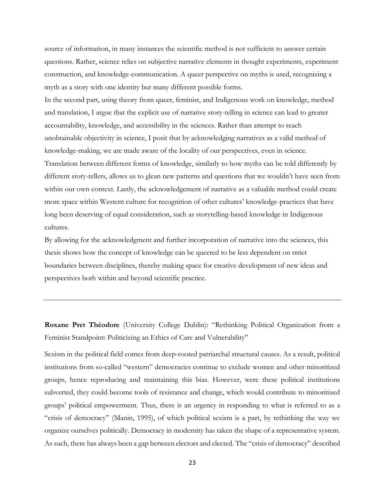source of information, in many instances the scientific method is not sufficient to answer certain questions. Rather, science relies on subjective narrative elements in thought experiments, experiment construction, and knowledge-communication. A queer perspective on myths is used, recognizing a myth as a story with one identity but many different possible forms.

In the second part, using theory from queer, feminist, and Indigenous work on knowledge, method and translation, I argue that the explicit use of narrative story-telling in science can lead to greater accountability, knowledge, and accessibility in the sciences. Rather than attempt to reach unobtainable objectivity in science, I posit that by acknowledging narratives as a valid method of knowledge-making, we are made aware of the locality of our perspectives, even in science. Translation between different forms of knowledge, similarly to how myths can be told differently by different story-tellers, allows us to glean new patterns and questions that we wouldn't have seen from within our own context. Lastly, the acknowledgement of narrative as a valuable method could create more space within Western culture for recognition of other cultures' knowledge-practices that have long been deserving of equal consideration, such as storytelling-based knowledge in Indigenous cultures.

By allowing for the acknowledgment and further incorporation of narrative into the sciences, this thesis shows how the concept of knowledge can be queered to be less dependent on strict boundaries between disciplines, thereby making space for creative development of new ideas and perspectives both within and beyond scientific practice.

**Roxane Pret Théodore** (University College Dublin): "Rethinking Political Organization from a Feminist Standpoint: Politicizing an Ethics of Care and Vulnerability"

Sexism in the political field comes from deep-rooted patriarchal structural causes. As a result, political institutions from so-called "western" democracies continue to exclude women and other minoritized groups, hence reproducing and maintaining this bias. However, were these political institutions subverted, they could become tools of resistance and change, which would contribute to minoritized groups' political empowerment. Thus, there is an urgency in responding to what is referred to as a "crisis of democracy" (Manin, 1995), of which political sexism is a part, by rethinking the way we organize ourselves politically. Democracy in modernity has taken the shape of a representative system. As such, there has always been a gap between electors and elected. The "crisis of democracy" described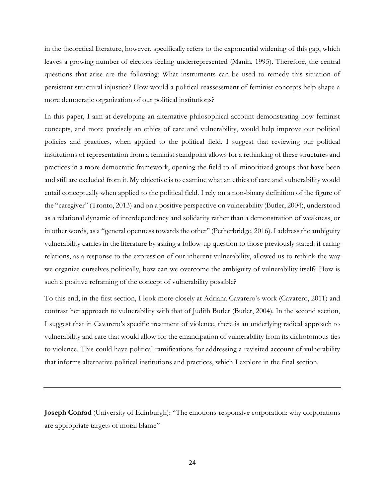in the theoretical literature, however, specifically refers to the exponential widening of this gap, which leaves a growing number of electors feeling underrepresented (Manin, 1995). Therefore, the central questions that arise are the following: What instruments can be used to remedy this situation of persistent structural injustice? How would a political reassessment of feminist concepts help shape a more democratic organization of our political institutions?

In this paper, I aim at developing an alternative philosophical account demonstrating how feminist concepts, and more precisely an ethics of care and vulnerability, would help improve our political policies and practices, when applied to the political field. I suggest that reviewing our political institutions of representation from a feminist standpoint allows for a rethinking of these structures and practices in a more democratic framework, opening the field to all minoritized groups that have been and still are excluded from it. My objective is to examine what an ethics of care and vulnerability would entail conceptually when applied to the political field. I rely on a non-binary definition of the figure of the "caregiver" (Tronto, 2013) and on a positive perspective on vulnerability (Butler, 2004), understood as a relational dynamic of interdependency and solidarity rather than a demonstration of weakness, or in other words, as a "general openness towards the other" (Petherbridge, 2016). I address the ambiguity vulnerability carries in the literature by asking a follow-up question to those previously stated: if caring relations, as a response to the expression of our inherent vulnerability, allowed us to rethink the way we organize ourselves politically, how can we overcome the ambiguity of vulnerability itself? How is such a positive reframing of the concept of vulnerability possible?

To this end, in the first section, I look more closely at Adriana Cavarero's work (Cavarero, 2011) and contrast her approach to vulnerability with that of Judith Butler (Butler, 2004). In the second section, I suggest that in Cavarero's specific treatment of violence, there is an underlying radical approach to vulnerability and care that would allow for the emancipation of vulnerability from its dichotomous ties to violence. This could have political ramifications for addressing a revisited account of vulnerability that informs alternative political institutions and practices, which I explore in the final section.

**Joseph Conrad** (University of Edinburgh): "The emotions-responsive corporation: why corporations are appropriate targets of moral blame"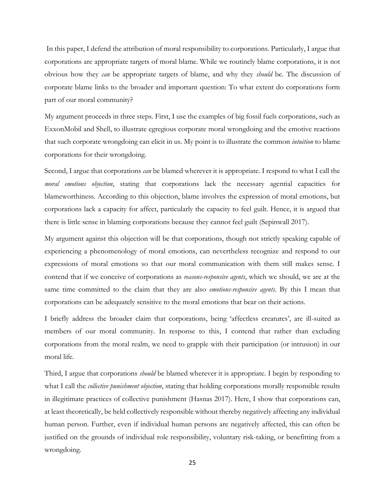In this paper, I defend the attribution of moral responsibility to corporations. Particularly, I argue that corporations are appropriate targets of moral blame. While we routinely blame corporations, it is not obvious how they *can* be appropriate targets of blame, and why they *should* be. The discussion of corporate blame links to the broader and important question: To what extent do corporations form part of our moral community?

My argument proceeds in three steps. First, I use the examples of big fossil fuels corporations, such as ExxonMobil and Shell, to illustrate egregious corporate moral wrongdoing and the emotive reactions that such corporate wrongdoing can elicit in us. My point is to illustrate the common *intuition* to blame corporations for their wrongdoing.

Second, I argue that corporations *can* be blamed wherever it is appropriate. I respond to what I call the *moral emotions objection*, stating that corporations lack the necessary agential capacities for blameworthiness. According to this objection, blame involves the expression of moral emotions, but corporations lack a capacity for affect, particularly the capacity to feel guilt. Hence, it is argued that there is little sense in blaming corporations because they cannot feel guilt (Sepinwall 2017).

My argument against this objection will be that corporations, though not strictly speaking capable of experiencing a phenomenology of moral emotions, can nevertheless recognize and respond to our expressions of moral emotions so that our moral communication with them still makes sense. I contend that if we conceive of corporations as *reasons-responsive agents*, which we should, we are at the same time committed to the claim that they are also *emotions-responsive agents*. By this I mean that corporations can be adequately sensitive to the moral emotions that bear on their actions.

I briefly address the broader claim that corporations, being 'affectless creatures', are ill-suited as members of our moral community. In response to this, I contend that rather than excluding corporations from the moral realm, we need to grapple with their participation (or intrusion) in our moral life.

Third, I argue that corporations *should* be blamed wherever it is appropriate. I begin by responding to what I call the *collective punishment objection*, stating that holding corporations morally responsible results in illegitimate practices of collective punishment (Hasnas 2017). Here, I show that corporations can, at least theoretically, be held collectively responsible without thereby negatively affecting any individual human person. Further, even if individual human persons are negatively affected, this can often be justified on the grounds of individual role responsibility, voluntary risk-taking, or benefitting from a wrongdoing.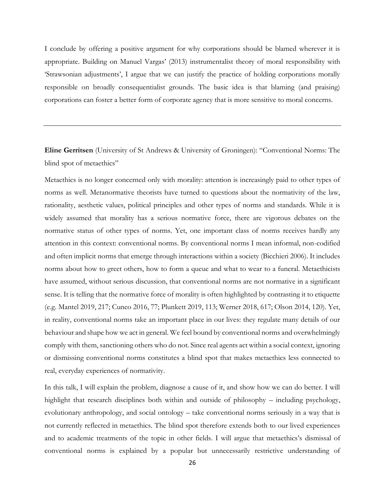I conclude by offering a positive argument for why corporations should be blamed wherever it is appropriate. Building on Manuel Vargas' (2013) instrumentalist theory of moral responsibility with 'Strawsonian adjustments', I argue that we can justify the practice of holding corporations morally responsible on broadly consequentialist grounds. The basic idea is that blaming (and praising) corporations can foster a better form of corporate agency that is more sensitive to moral concerns.

## **Eline Gerritsen** (University of St Andrews & University of Groningen): "Conventional Norms: The blind spot of metaethics"

Metaethics is no longer concerned only with morality: attention is increasingly paid to other types of norms as well. Metanormative theorists have turned to questions about the normativity of the law, rationality, aesthetic values, political principles and other types of norms and standards. While it is widely assumed that morality has a serious normative force, there are vigorous debates on the normative status of other types of norms. Yet, one important class of norms receives hardly any attention in this context: conventional norms. By conventional norms I mean informal, non-codified and often implicit norms that emerge through interactions within a society (Bicchieri 2006). It includes norms about how to greet others, how to form a queue and what to wear to a funeral. Metaethicists have assumed, without serious discussion, that conventional norms are not normative in a significant sense. It is telling that the normative force of morality is often highlighted by contrasting it to etiquette (e.g. Mantel 2019, 217; Cuneo 2016, 77; Plunkett 2019, 113; Werner 2018, 617; Olson 2014, 120). Yet, in reality, conventional norms take an important place in our lives: they regulate many details of our behaviour and shape how we act in general. We feel bound by conventional norms and overwhelmingly comply with them, sanctioning others who do not. Since real agents act within a social context, ignoring or dismissing conventional norms constitutes a blind spot that makes metaethics less connected to real, everyday experiences of normativity.

In this talk, I will explain the problem, diagnose a cause of it, and show how we can do better. I will highlight that research disciplines both within and outside of philosophy – including psychology, evolutionary anthropology, and social ontology – take conventional norms seriously in a way that is not currently reflected in metaethics. The blind spot therefore extends both to our lived experiences and to academic treatments of the topic in other fields. I will argue that metaethics's dismissal of conventional norms is explained by a popular but unnecessarily restrictive understanding of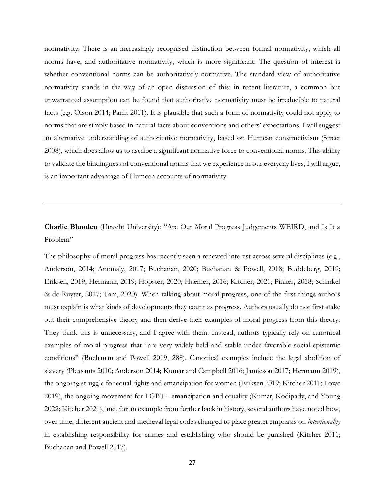normativity. There is an increasingly recognised distinction between formal normativity, which all norms have, and authoritative normativity, which is more significant. The question of interest is whether conventional norms can be authoritatively normative. The standard view of authoritative normativity stands in the way of an open discussion of this: in recent literature, a common but unwarranted assumption can be found that authoritative normativity must be irreducible to natural facts (e.g. Olson 2014; Parfit 2011). It is plausible that such a form of normativity could not apply to norms that are simply based in natural facts about conventions and others' expectations. I will suggest an alternative understanding of authoritative normativity, based on Humean constructivism (Street 2008), which does allow us to ascribe a significant normative force to conventional norms. This ability to validate the bindingness of conventional norms that we experience in our everyday lives, I will argue, is an important advantage of Humean accounts of normativity.

# **Charlie Blunden** (Utrecht University): "Are Our Moral Progress Judgements WEIRD, and Is It a Problem"

The philosophy of moral progress has recently seen a renewed interest across several disciplines (e.g., Anderson, 2014; Anomaly, 2017; Buchanan, 2020; Buchanan & Powell, 2018; Buddeberg, 2019; Eriksen, 2019; Hermann, 2019; Hopster, 2020; Huemer, 2016; Kitcher, 2021; Pinker, 2018; Schinkel & de Ruyter, 2017; Tam, 2020). When talking about moral progress, one of the first things authors must explain is what kinds of developments they count as progress. Authors usually do not first stake out their comprehensive theory and then derive their examples of moral progress from this theory. They think this is unnecessary, and I agree with them. Instead, authors typically rely on canonical examples of moral progress that "are very widely held and stable under favorable social-epistemic conditions" (Buchanan and Powell 2019, 288). Canonical examples include the legal abolition of slavery (Pleasants 2010; Anderson 2014; Kumar and Campbell 2016; Jamieson 2017; Hermann 2019), the ongoing struggle for equal rights and emancipation for women (Eriksen 2019; Kitcher 2011; Lowe 2019), the ongoing movement for LGBT+ emancipation and equality (Kumar, Kodipady, and Young 2022; Kitcher 2021), and, for an example from further back in history, several authors have noted how, over time, different ancient and medieval legal codes changed to place greater emphasis on *intentionality*  in establishing responsibility for crimes and establishing who should be punished (Kitcher 2011; Buchanan and Powell 2017).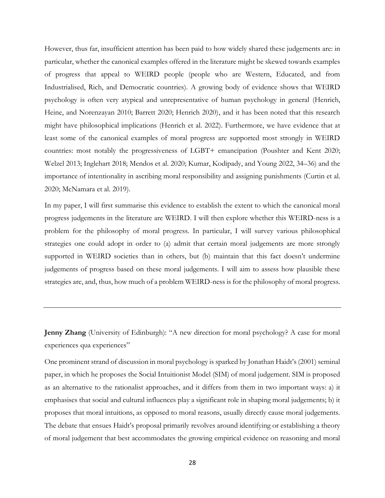However, thus far, insufficient attention has been paid to how widely shared these judgements are: in particular, whether the canonical examples offered in the literature might be skewed towards examples of progress that appeal to WEIRD people (people who are Western, Educated, and from Industrialised, Rich, and Democratic countries). A growing body of evidence shows that WEIRD psychology is often very atypical and unrepresentative of human psychology in general (Henrich, Heine, and Norenzayan 2010; Barrett 2020; Henrich 2020), and it has been noted that this research might have philosophical implications (Henrich et al. 2022). Furthermore, we have evidence that at least some of the canonical examples of moral progress are supported most strongly in WEIRD countries: most notably the progressiveness of LGBT+ emancipation (Poushter and Kent 2020; Welzel 2013; Inglehart 2018; Mendos et al. 2020; Kumar, Kodipady, and Young 2022, 34–36) and the importance of intentionality in ascribing moral responsibility and assigning punishments (Curtin et al. 2020; McNamara et al. 2019).

In my paper, I will first summarise this evidence to establish the extent to which the canonical moral progress judgements in the literature are WEIRD. I will then explore whether this WEIRD-ness is a problem for the philosophy of moral progress. In particular, I will survey various philosophical strategies one could adopt in order to (a) admit that certain moral judgements are more strongly supported in WEIRD societies than in others, but (b) maintain that this fact doesn't undermine judgements of progress based on these moral judgements. I will aim to assess how plausible these strategies are, and, thus, how much of a problem WEIRD-ness is for the philosophy of moral progress.

**Jenny Zhang** (University of Edinburgh): "A new direction for moral psychology? A case for moral experiences qua experiences"

One prominent strand of discussion in moral psychology is sparked by Jonathan Haidt's (2001) seminal paper, in which he proposes the Social Intuitionist Model (SIM) of moral judgement. SIM is proposed as an alternative to the rationalist approaches, and it differs from them in two important ways: a) it emphasises that social and cultural influences play a significant role in shaping moral judgements; b) it proposes that moral intuitions, as opposed to moral reasons, usually directly cause moral judgements. The debate that ensues Haidt's proposal primarily revolves around identifying or establishing a theory of moral judgement that best accommodates the growing empirical evidence on reasoning and moral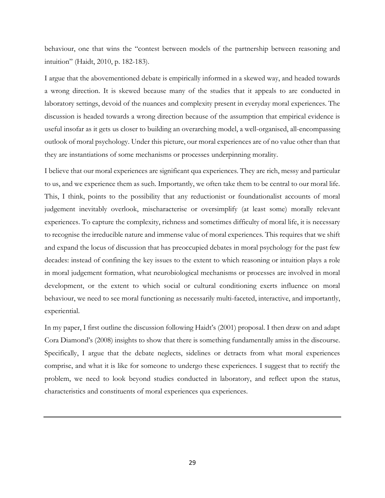behaviour, one that wins the "contest between models of the partnership between reasoning and intuition" (Haidt, 2010, p. 182-183).

I argue that the abovementioned debate is empirically informed in a skewed way, and headed towards a wrong direction. It is skewed because many of the studies that it appeals to are conducted in laboratory settings, devoid of the nuances and complexity present in everyday moral experiences. The discussion is headed towards a wrong direction because of the assumption that empirical evidence is useful insofar as it gets us closer to building an overarching model, a well-organised, all-encompassing outlook of moral psychology. Under this picture, our moral experiences are of no value other than that they are instantiations of some mechanisms or processes underpinning morality.

I believe that our moral experiences are significant qua experiences. They are rich, messy and particular to us, and we experience them as such. Importantly, we often take them to be central to our moral life. This, I think, points to the possibility that any reductionist or foundationalist accounts of moral judgement inevitably overlook, mischaracterise or oversimplify (at least some) morally relevant experiences. To capture the complexity, richness and sometimes difficulty of moral life, it is necessary to recognise the irreducible nature and immense value of moral experiences. This requires that we shift and expand the locus of discussion that has preoccupied debates in moral psychology for the past few decades: instead of confining the key issues to the extent to which reasoning or intuition plays a role in moral judgement formation, what neurobiological mechanisms or processes are involved in moral development, or the extent to which social or cultural conditioning exerts influence on moral behaviour, we need to see moral functioning as necessarily multi-faceted, interactive, and importantly, experiential.

In my paper, I first outline the discussion following Haidt's (2001) proposal. I then draw on and adapt Cora Diamond's (2008) insights to show that there is something fundamentally amiss in the discourse. Specifically, I argue that the debate neglects, sidelines or detracts from what moral experiences comprise, and what it is like for someone to undergo these experiences. I suggest that to rectify the problem, we need to look beyond studies conducted in laboratory, and reflect upon the status, characteristics and constituents of moral experiences qua experiences.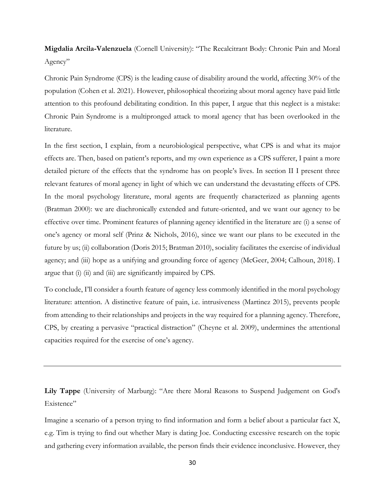**Migdalia Arcila-Valenzuela** (Cornell University): "The Recalcitrant Body: Chronic Pain and Moral Agency"

Chronic Pain Syndrome (CPS) is the leading cause of disability around the world, affecting 30% of the population (Cohen et al. 2021). However, philosophical theorizing about moral agency have paid little attention to this profound debilitating condition. In this paper, I argue that this neglect is a mistake: Chronic Pain Syndrome is a multipronged attack to moral agency that has been overlooked in the literature.

In the first section, I explain, from a neurobiological perspective, what CPS is and what its major effects are. Then, based on patient's reports, and my own experience as a CPS sufferer, I paint a more detailed picture of the effects that the syndrome has on people's lives. In section II I present three relevant features of moral agency in light of which we can understand the devastating effects of CPS. In the moral psychology literature, moral agents are frequently characterized as planning agents (Bratman 2000): we are diachronically extended and future-oriented, and we want our agency to be effective over time. Prominent features of planning agency identified in the literature are (i) a sense of one's agency or moral self (Prinz & Nichols, 2016), since we want our plans to be executed in the future by us; (ii) collaboration (Doris 2015; Bratman 2010), sociality facilitates the exercise of individual agency; and (iii) hope as a unifying and grounding force of agency (McGeer, 2004; Calhoun, 2018). I argue that (i) (ii) and (iii) are significantly impaired by CPS.

To conclude, I'll consider a fourth feature of agency less commonly identified in the moral psychology literature: attention. A distinctive feature of pain, i.e. intrusiveness (Martinez 2015), prevents people from attending to their relationships and projects in the way required for a planning agency. Therefore, CPS, by creating a pervasive "practical distraction" (Cheyne et al. 2009), undermines the attentional capacities required for the exercise of one's agency.

**Lily Tappe** (University of Marburg): "Are there Moral Reasons to Suspend Judgement on God's Existence"

Imagine a scenario of a person trying to find information and form a belief about a particular fact X, e.g. Tim is trying to find out whether Mary is dating Joe. Conducting excessive research on the topic and gathering every information available, the person finds their evidence inconclusive. However, they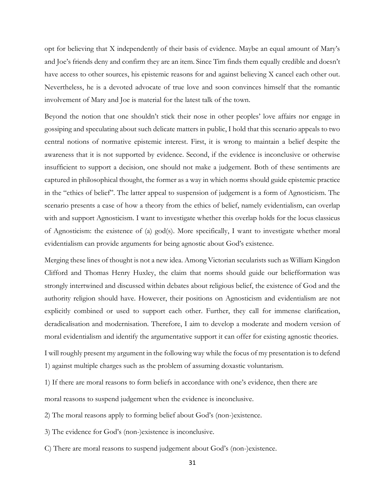opt for believing that X independently of their basis of evidence. Maybe an equal amount of Mary's and Joe's friends deny and confirm they are an item. Since Tim finds them equally credible and doesn't have access to other sources, his epistemic reasons for and against believing X cancel each other out. Nevertheless, he is a devoted advocate of true love and soon convinces himself that the romantic involvement of Mary and Joe is material for the latest talk of the town.

Beyond the notion that one shouldn't stick their nose in other peoples' love affairs nor engage in gossiping and speculating about such delicate matters in public, I hold that this scenario appeals to two central notions of normative epistemic interest. First, it is wrong to maintain a belief despite the awareness that it is not supported by evidence. Second, if the evidence is inconclusive or otherwise insufficient to support a decision, one should not make a judgement. Both of these sentiments are captured in philosophical thought, the former as a way in which norms should guide epistemic practice in the "ethics of belief". The latter appeal to suspension of judgement is a form of Agnosticism. The scenario presents a case of how a theory from the ethics of belief, namely evidentialism, can overlap with and support Agnosticism. I want to investigate whether this overlap holds for the locus classicus of Agnosticism: the existence of (a) god(s). More specifically, I want to investigate whether moral evidentialism can provide arguments for being agnostic about God's existence.

Merging these lines of thought is not a new idea. Among Victorian secularists such as William Kingdon Clifford and Thomas Henry Huxley, the claim that norms should guide our beliefformation was strongly intertwined and discussed within debates about religious belief, the existence of God and the authority religion should have. However, their positions on Agnosticism and evidentialism are not explicitly combined or used to support each other. Further, they call for immense clarification, deradicalisation and modernisation. Therefore, I aim to develop a moderate and modern version of moral evidentialism and identify the argumentative support it can offer for existing agnostic theories.

I will roughly present my argument in the following way while the focus of my presentation is to defend 1) against multiple charges such as the problem of assuming doxastic voluntarism.

1) If there are moral reasons to form beliefs in accordance with one's evidence, then there are

moral reasons to suspend judgement when the evidence is inconclusive.

2) The moral reasons apply to forming belief about God's (non-)existence.

- 3) The evidence for God's (non-)existence is inconclusive.
- C) There are moral reasons to suspend judgement about God's (non-)existence.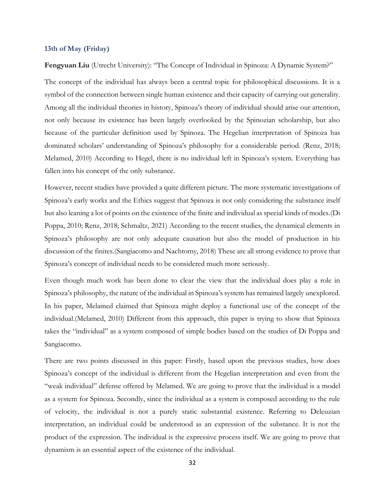#### **13th of May (Friday)**

Fengyuan Liu (Utrecht University): "The Concept of Individual in Spinoza: A Dynamic System?"

The concept of the individual has always been a central topic for philosophical discussions. It is a symbol of the connection between single human existence and their capacity of carrying out generality. Among all the individual theories in history, Spinoza's theory of individual should arise our attention, not only because its existence has been largely overlooked by the Spinozian scholarship, but also because of the particular definition used by Spinoza. The Hegelian interpretation of Spinoza has dominated scholars' understanding of Spinoza's philosophy for a considerable period. (Renz, 2018; Melamed, 2010) According to Hegel, there is no individual left in Spinoza's system. Everything has fallen into his concept of the only substance.

However, recent studies have provided a quite different picture. The more systematic investigations of Spinoza's early works and the Ethics suggest that Spinoza is not only considering the substance itself but also leaning a lot of points on the existence of the finite and individual as special kinds of modes.(Di Poppa, 2010; Renz, 2018; Schmaltz, 2021) According to the recent studies, the dynamical elements in Spinoza's philosophy are not only adequate causation but also the model of production in his discussion of the finites.(Sangiacomo and Nachtomy, 2018) These are all strong evidence to prove that Spinoza's concept of individual needs to be considered much more seriously.

Even though much work has been done to clear the view that the individual does play a role in Spinoza's philosophy, the nature of the individual in Spinoza's system has remained largely unexplored. In his paper, Melamed claimed that Spinoza might deploy a functional use of the concept of the individual.(Melamed, 2010) Different from this approach, this paper is trying to show that Spinoza takes the "individual" as a system composed of simple bodies based on the studies of Di Poppa and Sangiacomo.

There are two points discussed in this paper: Firstly, based upon the previous studies, how does Spinoza's concept of the individual is different from the Hegelian interpretation and even from the "weak individual" defense offered by Melamed. We are going to prove that the individual is a model as a system for Spinoza. Secondly, since the individual as a system is composed according to the rule of velocity, the individual is not a purely static substantial existence. Referring to Deleuzian interpretation, an individual could be understood as an expression of the substance. It is not the product of the expression. The individual is the expressive process itself. We are going to prove that dynamism is an essential aspect of the existence of the individual.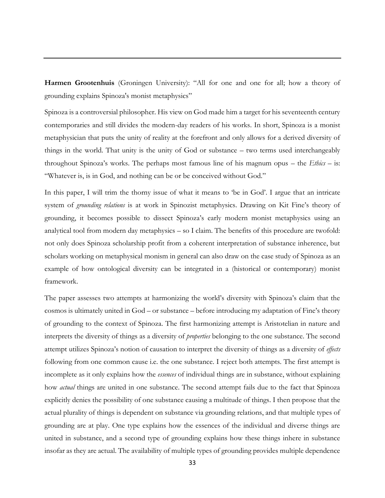**Harmen Grootenhuis** (Groningen University): "All for one and one for all; how a theory of grounding explains Spinoza's monist metaphysics"

Spinoza is a controversial philosopher. His view on God made him a target for his seventeenth century contemporaries and still divides the modern-day readers of his works. In short, Spinoza is a monist metaphysician that puts the unity of reality at the forefront and only allows for a derived diversity of things in the world. That unity is the unity of God or substance – two terms used interchangeably throughout Spinoza's works. The perhaps most famous line of his magnum opus – the *Ethics* – is: "Whatever is, is in God, and nothing can be or be conceived without God."

In this paper, I will trim the thorny issue of what it means to 'be in God'. I argue that an intricate system of *grounding relations* is at work in Spinozist metaphysics. Drawing on Kit Fine's theory of grounding, it becomes possible to dissect Spinoza's early modern monist metaphysics using an analytical tool from modern day metaphysics – so I claim. The benefits of this procedure are twofold: not only does Spinoza scholarship profit from a coherent interpretation of substance inherence, but scholars working on metaphysical monism in general can also draw on the case study of Spinoza as an example of how ontological diversity can be integrated in a (historical or contemporary) monist framework.

The paper assesses two attempts at harmonizing the world's diversity with Spinoza's claim that the cosmos is ultimately united in God – or substance – before introducing my adaptation of Fine's theory of grounding to the context of Spinoza. The first harmonizing attempt is Aristotelian in nature and interprets the diversity of things as a diversity of *properties* belonging to the one substance. The second attempt utilizes Spinoza's notion of causation to interpret the diversity of things as a diversity of *effects*  following from one common cause i.e. the one substance. I reject both attempts. The first attempt is incomplete as it only explains how the *essences* of individual things are in substance, without explaining how *actual* things are united in one substance. The second attempt fails due to the fact that Spinoza explicitly denies the possibility of one substance causing a multitude of things. I then propose that the actual plurality of things is dependent on substance via grounding relations, and that multiple types of grounding are at play. One type explains how the essences of the individual and diverse things are united in substance, and a second type of grounding explains how these things inhere in substance insofar as they are actual. The availability of multiple types of grounding provides multiple dependence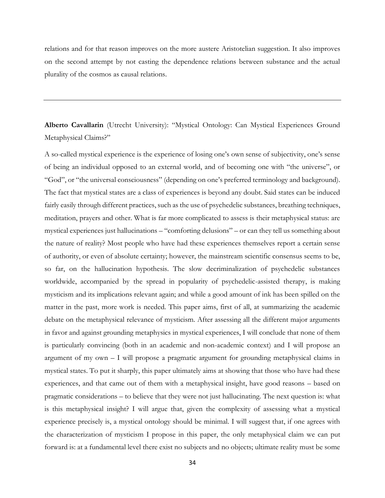relations and for that reason improves on the more austere Aristotelian suggestion. It also improves on the second attempt by not casting the dependence relations between substance and the actual plurality of the cosmos as causal relations.

**Alberto Cavallarin** (Utrecht University): "Mystical Ontology: Can Mystical Experiences Ground Metaphysical Claims?"

A so-called mystical experience is the experience of losing one's own sense of subjectivity, one's sense of being an individual opposed to an external world, and of becoming one with "the universe", or "God", or "the universal consciousness" (depending on one's preferred terminology and background). The fact that mystical states are a class of experiences is beyond any doubt. Said states can be induced fairly easily through different practices, such as the use of psychedelic substances, breathing techniques, meditation, prayers and other. What is far more complicated to assess is their metaphysical status: are mystical experiences just hallucinations – "comforting delusions" – or can they tell us something about the nature of reality? Most people who have had these experiences themselves report a certain sense of authority, or even of absolute certainty; however, the mainstream scientific consensus seems to be, so far, on the hallucination hypothesis. The slow decriminalization of psychedelic substances worldwide, accompanied by the spread in popularity of psychedelic-assisted therapy, is making mysticism and its implications relevant again; and while a good amount of ink has been spilled on the matter in the past, more work is needed. This paper aims, first of all, at summarizing the academic debate on the metaphysical relevance of mysticism. After assessing all the different major arguments in favor and against grounding metaphysics in mystical experiences, I will conclude that none of them is particularly convincing (both in an academic and non-academic context) and I will propose an argument of my own – I will propose a pragmatic argument for grounding metaphysical claims in mystical states. To put it sharply, this paper ultimately aims at showing that those who have had these experiences, and that came out of them with a metaphysical insight, have good reasons – based on pragmatic considerations – to believe that they were not just hallucinating. The next question is: what is this metaphysical insight? I will argue that, given the complexity of assessing what a mystical experience precisely is, a mystical ontology should be minimal. I will suggest that, if one agrees with the characterization of mysticism I propose in this paper, the only metaphysical claim we can put forward is: at a fundamental level there exist no subjects and no objects; ultimate reality must be some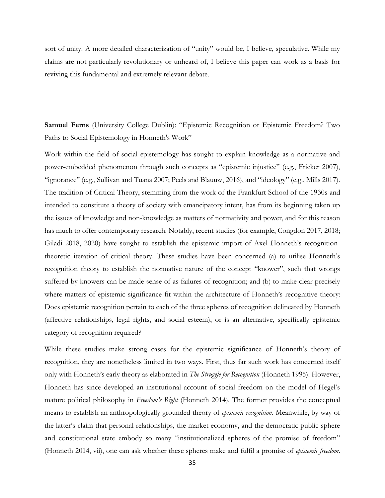sort of unity. A more detailed characterization of "unity" would be, I believe, speculative. While my claims are not particularly revolutionary or unheard of, I believe this paper can work as a basis for reviving this fundamental and extremely relevant debate.

**Samuel Ferns** (University College Dublin): "Epistemic Recognition or Epistemic Freedom? Two Paths to Social Epistemology in Honneth's Work"

Work within the field of social epistemology has sought to explain knowledge as a normative and power-embedded phenomenon through such concepts as "epistemic injustice" (e.g., Fricker 2007), "ignorance" (e.g., Sullivan and Tuana 2007; Peels and Blauuw, 2016), and "ideology" (e.g., Mills 2017). The tradition of Critical Theory, stemming from the work of the Frankfurt School of the 1930s and intended to constitute a theory of society with emancipatory intent, has from its beginning taken up the issues of knowledge and non-knowledge as matters of normativity and power, and for this reason has much to offer contemporary research. Notably, recent studies (for example, Congdon 2017, 2018; Giladi 2018, 2020) have sought to establish the epistemic import of Axel Honneth's recognitiontheoretic iteration of critical theory. These studies have been concerned (a) to utilise Honneth's recognition theory to establish the normative nature of the concept "knower", such that wrongs suffered by knowers can be made sense of as failures of recognition; and (b) to make clear precisely where matters of epistemic significance fit within the architecture of Honneth's recognitive theory: Does epistemic recognition pertain to each of the three spheres of recognition delineated by Honneth (affective relationships, legal rights, and social esteem), or is an alternative, specifically epistemic category of recognition required?

While these studies make strong cases for the epistemic significance of Honneth's theory of recognition, they are nonetheless limited in two ways. First, thus far such work has concerned itself only with Honneth's early theory as elaborated in *The Struggle for Recognition* (Honneth 1995). However, Honneth has since developed an institutional account of social freedom on the model of Hegel's mature political philosophy in *Freedom's Right* (Honneth 2014). The former provides the conceptual means to establish an anthropologically grounded theory of *epistemic recognition*. Meanwhile, by way of the latter's claim that personal relationships, the market economy, and the democratic public sphere and constitutional state embody so many "institutionalized spheres of the promise of freedom" (Honneth 2014, vii), one can ask whether these spheres make and fulfil a promise of *epistemic freedom*.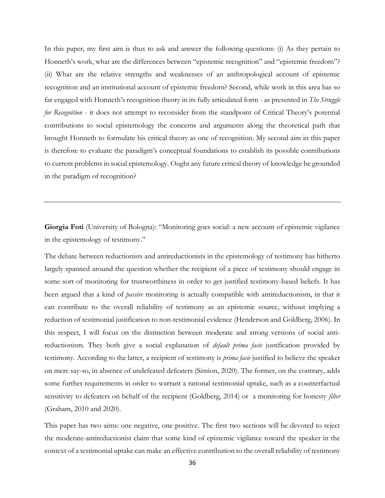In this paper, my first aim is thus to ask and answer the following questions: (i) As they pertain to Honneth's work, what are the differences between "epistemic recognition" and "epistemic freedom"? (ii) What are the relative strengths and weaknesses of an anthropological account of epistemic recognition and an institutional account of epistemic freedom? Second, while work in this area has so far engaged with Honneth's recognition theory in its fully articulated form - as presented in *The Struggle for Recognition* - it does not attempt to reconsider from the standpoint of Critical Theory's potential contributions to social epistemology the concerns and arguments along the theoretical path that brought Honneth to formulate his critical theory as one of recognition. My second aim in this paper is therefore to evaluate the paradigm's conceptual foundations to establish its possible contributions to current problems in social epistemology. Ought any future critical theory of knowledge be grounded in the paradigm of recognition?

**Giorgia Foti** (University of Bologna): "Monitoring goes social: a new account of epistemic vigilance in the epistemology of testimony."

The debate between reductionists and antireductionists in the epistemology of testimony has hitherto largely spanned around the question whether the recipient of a piece of testimony should engage in some sort of monitoring for trustworthiness in order to get justified testimony-based beliefs. It has been argued that a kind of *passive* monitoring is actually compatible with antireductionism, in that it can contribute to the overall reliability of testimony as an epistemic source, without implying a reduction of testimonial justification to non-testimonial evidence (Henderson and Goldberg, 2006). In this respect, I will focus on the distinction between moderate and strong versions of social antireductionism. They both give a social explanation of *default prima facie* justification provided by testimony. According to the latter, a recipient of testimony is *prima facie* justified to believe the speaker on mere say-so, in absence of undefeated defeaters (Simion, 2020). The former, on the contrary, adds some further requirements in order to warrant a rational testimonial uptake, such as a counterfactual sensitivity to defeaters on behalf of the recipient (Goldberg, 2014) or a monitoring for honesty *filter*  (Graham, 2010 and 2020).

This paper has two aims: one negative, one positive. The first two sections will be devoted to reject the moderate-antireductionist claim that some kind of epistemic vigilance toward the speaker in the context of a testimonial uptake can make an effective contribution to the overall reliability of testimony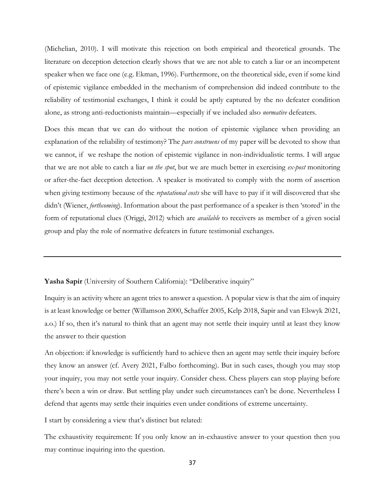(Michelian, 2010). I will motivate this rejection on both empirical and theoretical grounds. The literature on deception detection clearly shows that we are not able to catch a liar or an incompetent speaker when we face one (e.g. Ekman, 1996). Furthermore, on the theoretical side, even if some kind of epistemic vigilance embedded in the mechanism of comprehension did indeed contribute to the reliability of testimonial exchanges, I think it could be aptly captured by the no defeater condition alone, as strong anti-reductionists maintain—especially if we included also *normative* defeaters.

Does this mean that we can do without the notion of epistemic vigilance when providing an explanation of the reliability of testimony? The *pars construens* of my paper will be devoted to show that we cannot, if we reshape the notion of epistemic vigilance in non-individualistic terms. I will argue that we are not able to catch a liar *on the spot*, but we are much better in exercising *ex-post* monitoring or after-the-fact deception detection. A speaker is motivated to comply with the norm of assertion when giving testimony because of the *reputational costs* she will have to pay if it will discovered that she didn't (Wiener, *forthcoming*). Information about the past performance of a speaker is then 'stored' in the form of reputational clues (Origgi, 2012) which are *available* to receivers as member of a given social group and play the role of normative defeaters in future testimonial exchanges.

**Yasha Sapir** (University of Southern California): "Deliberative inquiry"

Inquiry is an activity where an agent tries to answer a question. A popular view is that the aim of inquiry is at least knowledge or better (Willamson 2000, Schaffer 2005, Kelp 2018, Sapir and van Elswyk 2021, a.o.) If so, then it's natural to think that an agent may not settle their inquiry until at least they know the answer to their question

An objection: if knowledge is sufficiently hard to achieve then an agent may settle their inquiry before they know an answer (cf. Avery 2021, Falbo forthcoming). But in such cases, though you may stop your inquiry, you may not settle your inquiry. Consider chess. Chess players can stop playing before there's been a win or draw. But settling play under such circumstances can't be done. Nevertheless I defend that agents may settle their inquiries even under conditions of extreme uncertainty.

I start by considering a view that's distinct but related:

The exhaustivity requirement: If you only know an in-exhaustive answer to your question then you may continue inquiring into the question.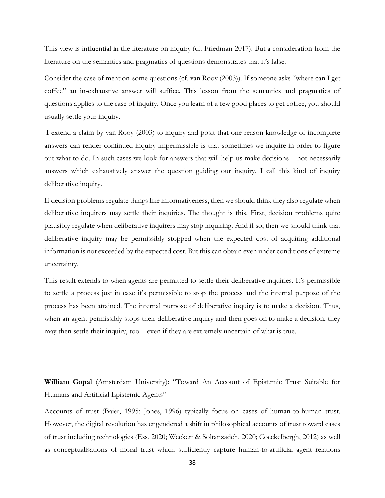This view is influential in the literature on inquiry (cf. Friedman 2017). But a consideration from the literature on the semantics and pragmatics of questions demonstrates that it's false.

Consider the case of mention-some questions (cf. van Rooy (2003)). If someone asks "where can I get coffee" an in-exhaustive answer will suffice. This lesson from the semantics and pragmatics of questions applies to the case of inquiry. Once you learn of a few good places to get coffee, you should usually settle your inquiry.

I extend a claim by van Rooy (2003) to inquiry and posit that one reason knowledge of incomplete answers can render continued inquiry impermissible is that sometimes we inquire in order to figure out what to do. In such cases we look for answers that will help us make decisions – not necessarily answers which exhaustively answer the question guiding our inquiry. I call this kind of inquiry deliberative inquiry.

If decision problems regulate things like informativeness, then we should think they also regulate when deliberative inquirers may settle their inquiries. The thought is this. First, decision problems quite plausibly regulate when deliberative inquirers may stop inquiring. And if so, then we should think that deliberative inquiry may be permissibly stopped when the expected cost of acquiring additional information is not exceeded by the expected cost. But this can obtain even under conditions of extreme uncertainty.

This result extends to when agents are permitted to settle their deliberative inquiries. It's permissible to settle a process just in case it's permissible to stop the process and the internal purpose of the process has been attained. The internal purpose of deliberative inquiry is to make a decision. Thus, when an agent permissibly stops their deliberative inquiry and then goes on to make a decision, they may then settle their inquiry, too – even if they are extremely uncertain of what is true.

**William Gopal** (Amsterdam University): "Toward An Account of Epistemic Trust Suitable for Humans and Artificial Epistemic Agents"

Accounts of trust (Baier, 1995; Jones, 1996) typically focus on cases of human-to-human trust. However, the digital revolution has engendered a shift in philosophical accounts of trust toward cases of trust including technologies (Ess, 2020; Weckert & Soltanzadeh, 2020; Coeckelbergh, 2012) as well as conceptualisations of moral trust which sufficiently capture human-to-artificial agent relations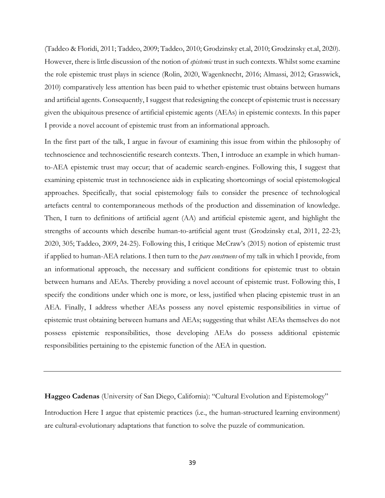(Taddeo & Floridi, 2011; Taddeo, 2009; Taddeo, 2010; Grodzinsky et.al, 2010; Grodzinsky et.al, 2020). However, there is little discussion of the notion of *epistemic* trust in such contexts. Whilst some examine the role epistemic trust plays in science (Rolin, 2020, Wagenknecht, 2016; Almassi, 2012; Grasswick, 2010) comparatively less attention has been paid to whether epistemic trust obtains between humans and artificial agents. Consequently, I suggest that redesigning the concept of epistemic trust is necessary given the ubiquitous presence of artificial epistemic agents (AEAs) in epistemic contexts. In this paper I provide a novel account of epistemic trust from an informational approach.

In the first part of the talk, I argue in favour of examining this issue from within the philosophy of technoscience and technoscientific research contexts. Then, I introduce an example in which humanto-AEA epistemic trust may occur; that of academic search-engines. Following this, I suggest that examining epistemic trust in technoscience aids in explicating shortcomings of social epistemological approaches. Specifically, that social epistemology fails to consider the presence of technological artefacts central to contemporaneous methods of the production and dissemination of knowledge. Then, I turn to definitions of artificial agent (AA) and artificial epistemic agent, and highlight the strengths of accounts which describe human-to-artificial agent trust (Grodzinsky et.al, 2011, 22-23; 2020, 305; Taddeo, 2009, 24-25). Following this, I critique McCraw's (2015) notion of epistemic trust if applied to human-AEA relations. I then turn to the *pars construens* of my talk in which I provide, from an informational approach, the necessary and sufficient conditions for epistemic trust to obtain between humans and AEAs. Thereby providing a novel account of epistemic trust. Following this, I specify the conditions under which one is more, or less, justified when placing epistemic trust in an AEA. Finally, I address whether AEAs possess any novel epistemic responsibilities in virtue of epistemic trust obtaining between humans and AEAs; suggesting that whilst AEAs themselves do not possess epistemic responsibilities, those developing AEAs do possess additional epistemic responsibilities pertaining to the epistemic function of the AEA in question.

**Haggeo Cadenas** (University of San Diego, California): "Cultural Evolution and Epistemology" Introduction Here I argue that epistemic practices (i.e., the human-structured learning environment) are cultural-evolutionary adaptations that function to solve the puzzle of communication.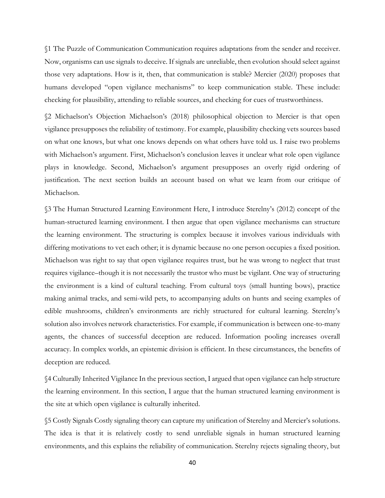§1 The Puzzle of Communication Communication requires adaptations from the sender and receiver. Now, organisms can use signals to deceive. If signals are unreliable, then evolution should select against those very adaptations. How is it, then, that communication is stable? Mercier (2020) proposes that humans developed "open vigilance mechanisms" to keep communication stable. These include: checking for plausibility, attending to reliable sources, and checking for cues of trustworthiness.

§2 Michaelson's Objection Michaelson's (2018) philosophical objection to Mercier is that open vigilance presupposes the reliability of testimony. For example, plausibility checking vets sources based on what one knows, but what one knows depends on what others have told us. I raise two problems with Michaelson's argument. First, Michaelson's conclusion leaves it unclear what role open vigilance plays in knowledge. Second, Michaelson's argument presupposes an overly rigid ordering of justification. The next section builds an account based on what we learn from our critique of Michaelson.

§3 The Human Structured Learning Environment Here, I introduce Sterelny's (2012) concept of the human-structured learning environment. I then argue that open vigilance mechanisms can structure the learning environment. The structuring is complex because it involves various individuals with differing motivations to vet each other; it is dynamic because no one person occupies a fixed position. Michaelson was right to say that open vigilance requires trust, but he was wrong to neglect that trust requires vigilance–though it is not necessarily the trustor who must be vigilant. One way of structuring the environment is a kind of cultural teaching. From cultural toys (small hunting bows), practice making animal tracks, and semi-wild pets, to accompanying adults on hunts and seeing examples of edible mushrooms, children's environments are richly structured for cultural learning. Sterelny's solution also involves network characteristics. For example, if communication is between one-to-many agents, the chances of successful deception are reduced. Information pooling increases overall accuracy. In complex worlds, an epistemic division is efficient. In these circumstances, the benefits of deception are reduced.

§4 Culturally Inherited Vigilance In the previous section, I argued that open vigilance can help structure the learning environment. In this section, I argue that the human structured learning environment is the site at which open vigilance is culturally inherited.

§5 Costly Signals Costly signaling theory can capture my unification of Sterelny and Mercier's solutions. The idea is that it is relatively costly to send unreliable signals in human structured learning environments, and this explains the reliability of communication. Sterelny rejects signaling theory, but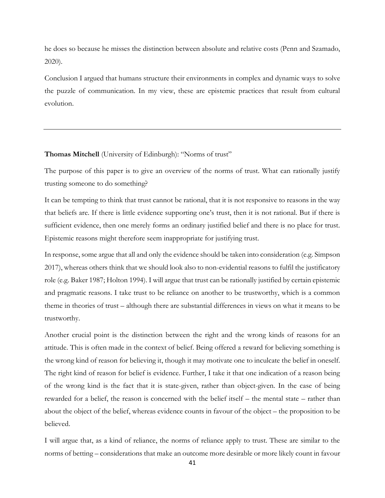he does so because he misses the distinction between absolute and relative costs (Penn and Szamado, 2020).

Conclusion I argued that humans structure their environments in complex and dynamic ways to solve the puzzle of communication. In my view, these are epistemic practices that result from cultural evolution.

**Thomas Mitchell** (University of Edinburgh): "Norms of trust"

The purpose of this paper is to give an overview of the norms of trust. What can rationally justify trusting someone to do something?

It can be tempting to think that trust cannot be rational, that it is not responsive to reasons in the way that beliefs are. If there is little evidence supporting one's trust, then it is not rational. But if there is sufficient evidence, then one merely forms an ordinary justified belief and there is no place for trust. Epistemic reasons might therefore seem inappropriate for justifying trust.

In response, some argue that all and only the evidence should be taken into consideration (e.g. Simpson 2017), whereas others think that we should look also to non-evidential reasons to fulfil the justificatory role (e.g. Baker 1987; Holton 1994). I will argue that trust can be rationally justified by certain epistemic and pragmatic reasons. I take trust to be reliance on another to be trustworthy, which is a common theme in theories of trust – although there are substantial differences in views on what it means to be trustworthy.

Another crucial point is the distinction between the right and the wrong kinds of reasons for an attitude. This is often made in the context of belief. Being offered a reward for believing something is the wrong kind of reason for believing it, though it may motivate one to inculcate the belief in oneself. The right kind of reason for belief is evidence. Further, I take it that one indication of a reason being of the wrong kind is the fact that it is state-given, rather than object-given. In the case of being rewarded for a belief, the reason is concerned with the belief itself – the mental state – rather than about the object of the belief, whereas evidence counts in favour of the object – the proposition to be believed.

I will argue that, as a kind of reliance, the norms of reliance apply to trust. These are similar to the norms of betting – considerations that make an outcome more desirable or more likely count in favour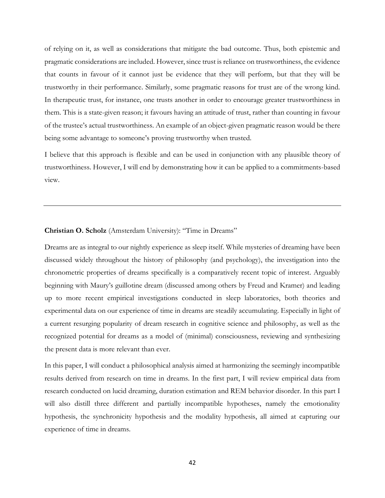of relying on it, as well as considerations that mitigate the bad outcome. Thus, both epistemic and pragmatic considerations are included. However, since trust is reliance on trustworthiness, the evidence that counts in favour of it cannot just be evidence that they will perform, but that they will be trustworthy in their performance. Similarly, some pragmatic reasons for trust are of the wrong kind. In therapeutic trust, for instance, one trusts another in order to encourage greater trustworthiness in them. This is a state-given reason; it favours having an attitude of trust, rather than counting in favour of the trustee's actual trustworthiness. An example of an object-given pragmatic reason would be there being some advantage to someone's proving trustworthy when trusted.

I believe that this approach is flexible and can be used in conjunction with any plausible theory of trustworthiness. However, I will end by demonstrating how it can be applied to a commitments-based view.

#### **Christian O. Scholz** (Amsterdam University): "Time in Dreams"

Dreams are as integral to our nightly experience as sleep itself. While mysteries of dreaming have been discussed widely throughout the history of philosophy (and psychology), the investigation into the chronometric properties of dreams specifically is a comparatively recent topic of interest. Arguably beginning with Maury's guillotine dream (discussed among others by Freud and Kramer) and leading up to more recent empirical investigations conducted in sleep laboratories, both theories and experimental data on our experience of time in dreams are steadily accumulating. Especially in light of a current resurging popularity of dream research in cognitive science and philosophy, as well as the recognized potential for dreams as a model of (minimal) consciousness, reviewing and synthesizing the present data is more relevant than ever.

In this paper, I will conduct a philosophical analysis aimed at harmonizing the seemingly incompatible results derived from research on time in dreams. In the first part, I will review empirical data from research conducted on lucid dreaming, duration estimation and REM behavior disorder. In this part I will also distill three different and partially incompatible hypotheses, namely the emotionality hypothesis, the synchronicity hypothesis and the modality hypothesis, all aimed at capturing our experience of time in dreams.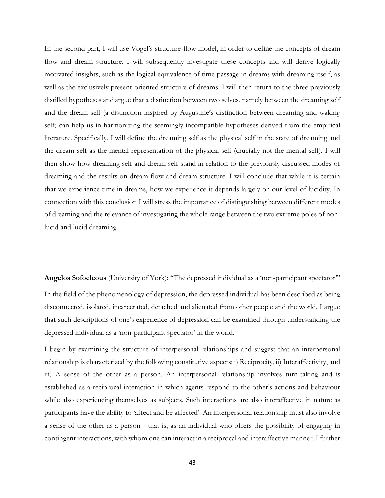In the second part, I will use Vogel's structure-flow model, in order to define the concepts of dream flow and dream structure. I will subsequently investigate these concepts and will derive logically motivated insights, such as the logical equivalence of time passage in dreams with dreaming itself, as well as the exclusively present-oriented structure of dreams. I will then return to the three previously distilled hypotheses and argue that a distinction between two selves, namely between the dreaming self and the dream self (a distinction inspired by Augustine's distinction between dreaming and waking self) can help us in harmonizing the seemingly incompatible hypotheses derived from the empirical literature. Specifically, I will define the dreaming self as the physical self in the state of dreaming and the dream self as the mental representation of the physical self (crucially not the mental self). I will then show how dreaming self and dream self stand in relation to the previously discussed modes of dreaming and the results on dream flow and dream structure. I will conclude that while it is certain that we experience time in dreams, how we experience it depends largely on our level of lucidity. In connection with this conclusion I will stress the importance of distinguishing between different modes of dreaming and the relevance of investigating the whole range between the two extreme poles of nonlucid and lucid dreaming.

**Angelos Sofocleous** (University of York): "The depressed individual as a 'non-participant spectator'"

In the field of the phenomenology of depression, the depressed individual has been described as being disconnected, isolated, incarcerated, detached and alienated from other people and the world. I argue that such descriptions of one's experience of depression can be examined through understanding the depressed individual as a 'non-participant spectator' in the world.

I begin by examining the structure of interpersonal relationships and suggest that an interpersonal relationship is characterized by the following constitutive aspects: i) Reciprocity, ii) Interaffectivity, and iii) A sense of the other as a person. An interpersonal relationship involves turn-taking and is established as a reciprocal interaction in which agents respond to the other's actions and behaviour while also experiencing themselves as subjects. Such interactions are also interaffective in nature as participants have the ability to 'affect and be affected'. An interpersonal relationship must also involve a sense of the other as a person - that is, as an individual who offers the possibility of engaging in contingent interactions, with whom one can interact in a reciprocal and interaffective manner. I further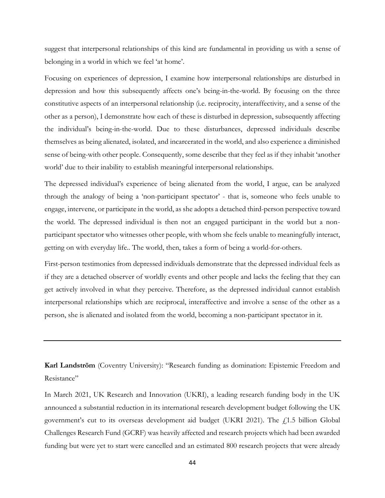suggest that interpersonal relationships of this kind are fundamental in providing us with a sense of belonging in a world in which we feel 'at home'.

Focusing on experiences of depression, I examine how interpersonal relationships are disturbed in depression and how this subsequently affects one's being-in-the-world. By focusing on the three constitutive aspects of an interpersonal relationship (i.e. reciprocity, interaffectivity, and a sense of the other as a person), I demonstrate how each of these is disturbed in depression, subsequently affecting the individual's being-in-the-world. Due to these disturbances, depressed individuals describe themselves as being alienated, isolated, and incarcerated in the world, and also experience a diminished sense of being-with other people. Consequently, some describe that they feel as if they inhabit 'another world' due to their inability to establish meaningful interpersonal relationships.

The depressed individual's experience of being alienated from the world, I argue, can be analyzed through the analogy of being a 'non-participant spectator' - that is, someone who feels unable to engage, intervene, or participate in the world, as she adopts a detached third-person perspective toward the world. The depressed individual is then not an engaged participant in the world but a nonparticipant spectator who witnesses other people, with whom she feels unable to meaningfully interact, getting on with everyday life.. The world, then, takes a form of being a world-for-others.

First-person testimonies from depressed individuals demonstrate that the depressed individual feels as if they are a detached observer of worldly events and other people and lacks the feeling that they can get actively involved in what they perceive. Therefore, as the depressed individual cannot establish interpersonal relationships which are reciprocal, interaffective and involve a sense of the other as a person, she is alienated and isolated from the world, becoming a non-participant spectator in it.

**Karl Landström** (Coventry University): "Research funding as domination: Epistemic Freedom and Resistance"

In March 2021, UK Research and Innovation (UKRI), a leading research funding body in the UK announced a substantial reduction in its international research development budget following the UK government's cut to its overseas development aid budget (UKRI 2021). The  $f<sub>1.5</sub>$  billion Global Challenges Research Fund (GCRF) was heavily affected and research projects which had been awarded funding but were yet to start were cancelled and an estimated 800 research projects that were already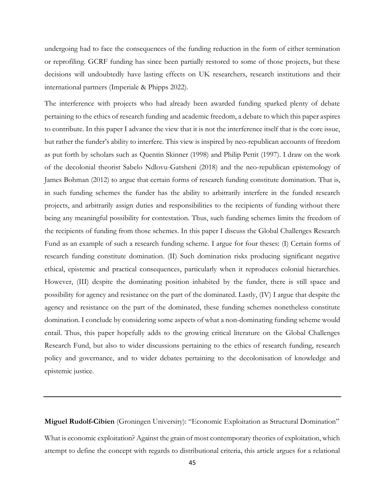undergoing had to face the consequences of the funding reduction in the form of either termination or reprofiling. GCRF funding has since been partially restored to some of those projects, but these decisions will undoubtedly have lasting effects on UK researchers, research institutions and their international partners (Imperiale & Phipps 2022).

The interference with projects who had already been awarded funding sparked plenty of debate pertaining to the ethics of research funding and academic freedom, a debate to which this paper aspires to contribute. In this paper I advance the view that it is not the interference itself that is the core issue, but rather the funder's ability to interfere. This view is inspired by neo-republican accounts of freedom as put forth by scholars such as Quentin Skinner (1998) and Philip Pettit (1997). I draw on the work of the decolonial theorist Sabelo Ndlovu-Gatsheni (2018) and the neo-republican epistemology of James Bohman (2012) to argue that certain forms of research funding constitute domination. That is, in such funding schemes the funder has the ability to arbitrarily interfere in the funded research projects, and arbitrarily assign duties and responsibilities to the recipients of funding without there being any meaningful possibility for contestation. Thus, such funding schemes limits the freedom of the recipients of funding from those schemes. In this paper I discuss the Global Challenges Research Fund as an example of such a research funding scheme. I argue for four theses: (I) Certain forms of research funding constitute domination. (II) Such domination risks producing significant negative ethical, epistemic and practical consequences, particularly when it reproduces colonial hierarchies. However, (III) despite the dominating position inhabited by the funder, there is still space and possibility for agency and resistance on the part of the dominated. Lastly, (IV) I argue that despite the agency and resistance on the part of the dominated, these funding schemes nonetheless constitute domination. I conclude by considering some aspects of what a non-dominating funding scheme would entail. Thus, this paper hopefully adds to the growing critical literature on the Global Challenges Research Fund, but also to wider discussions pertaining to the ethics of research funding, research policy and governance, and to wider debates pertaining to the decolonisation of knowledge and epistemic justice.

**Miguel Rudolf-Cibien** (Groningen University): "Economic Exploitation as Structural Domination" What is economic exploitation? Against the grain of most contemporary theories of exploitation, which attempt to define the concept with regards to distributional criteria, this article argues for a relational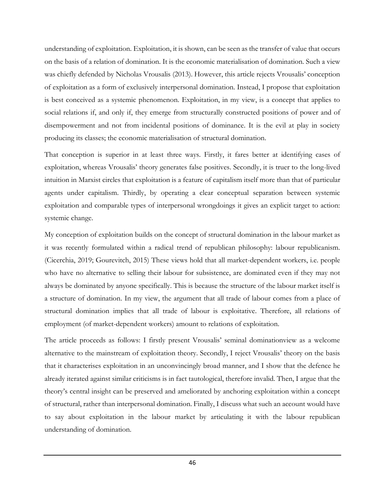understanding of exploitation. Exploitation, it is shown, can be seen as the transfer of value that occurs on the basis of a relation of domination. It is the economic materialisation of domination. Such a view was chiefly defended by Nicholas Vrousalis (2013). However, this article rejects Vrousalis' conception of exploitation as a form of exclusively interpersonal domination. Instead, I propose that exploitation is best conceived as a systemic phenomenon. Exploitation, in my view, is a concept that applies to social relations if, and only if, they emerge from structurally constructed positions of power and of disempowerment and not from incidental positions of dominance. It is the evil at play in society producing its classes; the economic materialisation of structural domination.

That conception is superior in at least three ways. Firstly, it fares better at identifying cases of exploitation, whereas Vrousalis' theory generates false positives. Secondly, it is truer to the long-lived intuition in Marxist circles that exploitation is a feature of capitalism itself more than that of particular agents under capitalism. Thirdly, by operating a clear conceptual separation between systemic exploitation and comparable types of interpersonal wrongdoings it gives an explicit target to action: systemic change.

My conception of exploitation builds on the concept of structural domination in the labour market as it was recently formulated within a radical trend of republican philosophy: labour republicanism. (Cicerchia, 2019; Gourevitch, 2015) These views hold that all market-dependent workers, i.e. people who have no alternative to selling their labour for subsistence, are dominated even if they may not always be dominated by anyone specifically. This is because the structure of the labour market itself is a structure of domination. In my view, the argument that all trade of labour comes from a place of structural domination implies that all trade of labour is exploitative. Therefore, all relations of employment (of market-dependent workers) amount to relations of exploitation.

The article proceeds as follows: I firstly present Vrousalis' seminal dominationview as a welcome alternative to the mainstream of exploitation theory. Secondly, I reject Vrousalis' theory on the basis that it characterises exploitation in an unconvincingly broad manner, and I show that the defence he already iterated against similar criticisms is in fact tautological, therefore invalid. Then, I argue that the theory's central insight can be preserved and ameliorated by anchoring exploitation within a concept of structural, rather than interpersonal domination. Finally, I discuss what such an account would have to say about exploitation in the labour market by articulating it with the labour republican understanding of domination.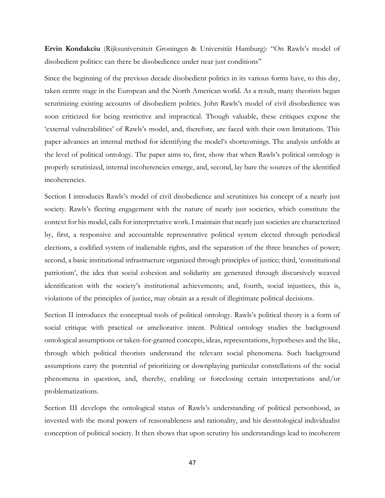**Ervin Kondakciu** (Rijksuniversiteit Groningen & Universität Hamburg): "On Rawls's model of disobedient politics: can there be disobedience under near just conditions"

Since the beginning of the previous decade disobedient politics in its various forms have, to this day, taken centre stage in the European and the North American world. As a result, many theorists began scrutinizing existing accounts of disobedient politics. John Rawls's model of civil disobedience was soon criticized for being restrictive and impractical. Though valuable, these critiques expose the 'external vulnerabilities' of Rawls's model, and, therefore, are faced with their own limitations. This paper advances an internal method for identifying the model's shortcomings. The analysis unfolds at the level of political ontology. The paper aims to, first, show that when Rawls's political ontology is properly scrutinized, internal incoherencies emerge, and, second, lay bare the sources of the identified incoherencies.

Section I introduces Rawls's model of civil disobedience and scrutinizes his concept of a nearly just society. Rawls's fleeting engagement with the nature of nearly just societies, which constitute the context for his model, calls for interpretative work. I maintain that nearly just societies are characterized by, first, a responsive and accountable representative political system elected through periodical elections, a codified system of inalienable rights, and the separation of the three branches of power; second, a basic institutional infrastructure organized through principles of justice; third, 'constitutional patriotism', the idea that social cohesion and solidarity are generated through discursively weaved identification with the society's institutional achievements; and, fourth, social injustices, this is, violations of the principles of justice, may obtain as a result of illegitimate political decisions.

Section II introduces the conceptual tools of political ontology. Rawls's political theory is a form of social critique with practical or ameliorative intent. Political ontology studies the background ontological assumptions or taken-for-granted concepts, ideas, representations, hypotheses and the like, through which political theorists understand the relevant social phenomena. Such background assumptions carry the potential of prioritizing or downplaying particular constellations of the social phenomena in question, and, thereby, enabling or foreclosing certain interpretations and/or problematizations.

Section III develops the ontological status of Rawls's understanding of political personhood, as invested with the moral powers of reasonableness and rationality, and his deontological individualist conception of political society. It then shows that upon scrutiny his understandings lead to incoherent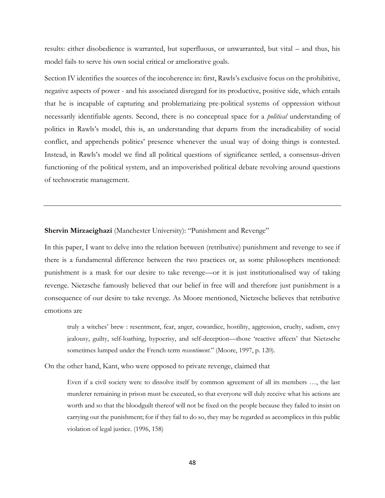results: either disobedience is warranted, but superfluous, or unwarranted, but vital – and thus, his model fails to serve his own social critical or ameliorative goals.

Section IV identifies the sources of the incoherence in: first, Rawls's exclusive focus on the prohibitive, negative aspects of power - and his associated disregard for its productive, positive side, which entails that he is incapable of capturing and problematizing pre-political systems of oppression without necessarily identifiable agents. Second, there is no conceptual space for a *political* understanding of politics in Rawls's model, this is, an understanding that departs from the ineradicability of social conflict, and apprehends politics' presence whenever the usual way of doing things is contested. Instead, in Rawls's model we find all political questions of significance settled, a consensus-driven functioning of the political system, and an impoverished political debate revolving around questions of technocratic management.

**Shervin Mirzaeighazi** (Manchester University): "Punishment and Revenge"

In this paper, I want to delve into the relation between (retributive) punishment and revenge to see if there is a fundamental difference between the two practices or, as some philosophers mentioned: punishment is a mask for our desire to take revenge—or it is just institutionalised way of taking revenge. Nietzsche famously believed that our belief in free will and therefore just punishment is a consequence of our desire to take revenge. As Moore mentioned, Nietzsche believes that retributive emotions are

truly a witches' brew : resentment, fear, anger, cowardice, hostility, aggression, cruelty, sadism, envy jealousy, guilty, self-loathing, hypocrisy, and self-deception—those 'reactive affects' that Nietzsche sometimes lumped under the French term *ressentiment*." (Moore, 1997, p. 120).

On the other hand, Kant, who were opposed to private revenge, claimed that

Even if a civil society were to dissolve itself by common agreement of all its members …, the last murderer remaining in prison must be executed, so that everyone will duly receive what his actions are worth and so that the bloodguilt thereof will not be fixed on the people because they failed to insist on carrying out the punishment; for if they fail to do so, they may be regarded as accomplices in this public violation of legal justice. (1996, 158)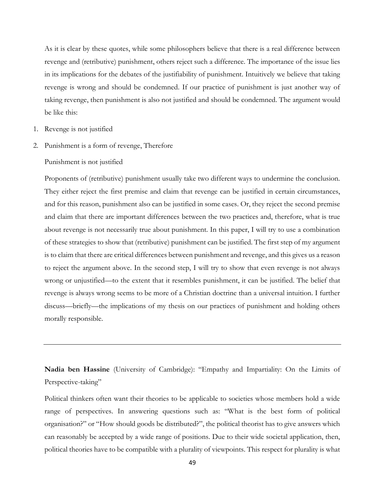As it is clear by these quotes, while some philosophers believe that there is a real difference between revenge and (retributive) punishment, others reject such a difference. The importance of the issue lies in its implications for the debates of the justifiability of punishment. Intuitively we believe that taking revenge is wrong and should be condemned. If our practice of punishment is just another way of taking revenge, then punishment is also not justified and should be condemned. The argument would be like this:

- 1. Revenge is not justified
- 2. Punishment is a form of revenge, Therefore

Punishment is not justified

Proponents of (retributive) punishment usually take two different ways to undermine the conclusion. They either reject the first premise and claim that revenge can be justified in certain circumstances, and for this reason, punishment also can be justified in some cases. Or, they reject the second premise and claim that there are important differences between the two practices and, therefore, what is true about revenge is not necessarily true about punishment. In this paper, I will try to use a combination of these strategies to show that (retributive) punishment can be justified. The first step of my argument is to claim that there are critical differences between punishment and revenge, and this gives us a reason to reject the argument above. In the second step, I will try to show that even revenge is not always wrong or unjustified—to the extent that it resembles punishment, it can be justified. The belief that revenge is always wrong seems to be more of a Christian doctrine than a universal intuition. I further discuss—briefly—the implications of my thesis on our practices of punishment and holding others morally responsible.

**Nadia ben Hassine** (University of Cambridge): "Empathy and Impartiality: On the Limits of Perspective-taking"

Political thinkers often want their theories to be applicable to societies whose members hold a wide range of perspectives. In answering questions such as: "What is the best form of political organisation?" or "How should goods be distributed?", the political theorist has to give answers which can reasonably be accepted by a wide range of positions. Due to their wide societal application, then, political theories have to be compatible with a plurality of viewpoints. This respect for plurality is what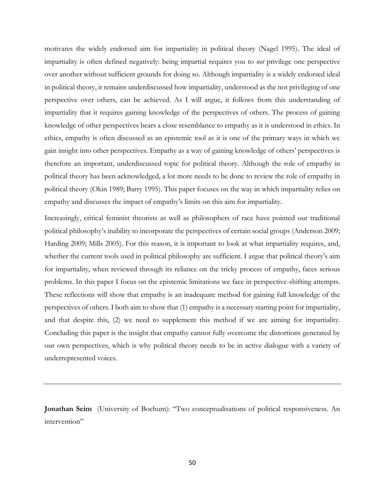motivates the widely endorsed aim for impartiality in political theory (Nagel 1995). The ideal of impartiality is often defined negatively: being impartial requires you to *not* privilege one perspective over another without sufficient grounds for doing so. Although impartiality is a widely endorsed ideal in political theory, it remains underdiscussed how impartiality, understood as the not privileging of one perspective over others, can be achieved. As I will argue, it follows from this understanding of impartiality that it requires gaining knowledge of the perspectives of others. The process of gaining knowledge of other perspectives bears a close resemblance to empathy as it is understood in ethics. In ethics, empathy is often discussed as an epistemic tool as it is one of the primary ways in which we gain insight into other perspectives. Empathy as a way of gaining knowledge of others' perspectives is therefore an important, underdiscussed topic for political theory. Although the role of empathy in political theory has been acknowledged, a lot more needs to be done to review the role of empathy in political theory (Okin 1989; Barry 1995). This paper focuses on the way in which impartiality relies on empathy and discusses the impact of empathy's limits on this aim for impartiality.

Increasingly, critical feminist theorists as well as philosophers of race have pointed out traditional political philosophy's inability to incorporate the perspectives of certain social groups (Anderson 2009; Harding 2009; Mills 2005). For this reason, it is important to look at what impartiality requires, and, whether the current tools used in political philosophy are sufficient. I argue that political theory's aim for impartiality, when reviewed through its reliance on the tricky process of empathy, faces serious problems. In this paper I focus on the epistemic limitations we face in perspective-shifting attempts. These reflections will show that empathy is an inadequate method for gaining full knowledge of the perspectives of others. I both aim to show that (1) empathy is a necessary starting point for impartiality, and that despite this, (2) we need to supplement this method if we are aiming for impartiality. Concluding this paper is the insight that empathy cannot fully overcome the distortions generated by our own perspectives, which is why political theory needs to be in active dialogue with a variety of underrepresented voices.

**Jonathan Seim** (University of Bochum): "Two conceptualisations of political responsiveness. An intervention"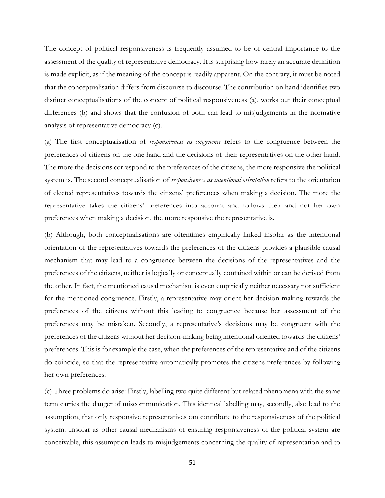The concept of political responsiveness is frequently assumed to be of central importance to the assessment of the quality of representative democracy. It is surprising how rarely an accurate definition is made explicit, as if the meaning of the concept is readily apparent. On the contrary, it must be noted that the conceptualisation differs from discourse to discourse. The contribution on hand identifies two distinct conceptualisations of the concept of political responsiveness (a), works out their conceptual differences (b) and shows that the confusion of both can lead to misjudgements in the normative analysis of representative democracy (c).

(a) The first conceptualisation of *responsiveness as congruence* refers to the congruence between the preferences of citizens on the one hand and the decisions of their representatives on the other hand. The more the decisions correspond to the preferences of the citizens, the more responsive the political system is. The second conceptualisation of *responsiveness as intentional orientation* refers to the orientation of elected representatives towards the citizens' preferences when making a decision. The more the representative takes the citizens' preferences into account and follows their and not her own preferences when making a decision, the more responsive the representative is.

(b) Although, both conceptualisations are oftentimes empirically linked insofar as the intentional orientation of the representatives towards the preferences of the citizens provides a plausible causal mechanism that may lead to a congruence between the decisions of the representatives and the preferences of the citizens, neither is logically or conceptually contained within or can be derived from the other. In fact, the mentioned causal mechanism is even empirically neither necessary nor sufficient for the mentioned congruence. Firstly, a representative may orient her decision-making towards the preferences of the citizens without this leading to congruence because her assessment of the preferences may be mistaken. Secondly, a representative's decisions may be congruent with the preferences of the citizens without her decision-making being intentional oriented towards the citizens' preferences. This is for example the case, when the preferences of the representative and of the citizens do coincide, so that the representative automatically promotes the citizens preferences by following her own preferences.

(c) Three problems do arise: Firstly, labelling two quite different but related phenomena with the same term carries the danger of miscommunication. This identical labelling may, secondly, also lead to the assumption, that only responsive representatives can contribute to the responsiveness of the political system. Insofar as other causal mechanisms of ensuring responsiveness of the political system are conceivable, this assumption leads to misjudgements concerning the quality of representation and to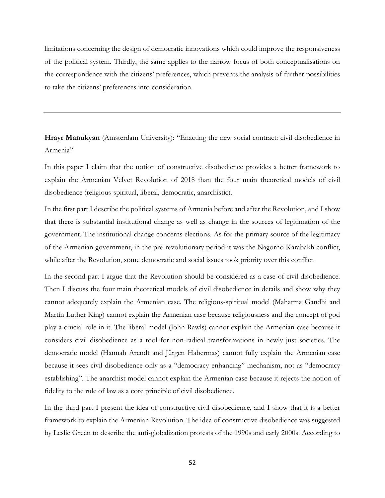limitations concerning the design of democratic innovations which could improve the responsiveness of the political system. Thirdly, the same applies to the narrow focus of both conceptualisations on the correspondence with the citizens' preferences, which prevents the analysis of further possibilities to take the citizens' preferences into consideration.

**Hrayr Manukyan** (Amsterdam University): "Enacting the new social contract: civil disobedience in Armenia"

In this paper I claim that the notion of constructive disobedience provides a better framework to explain the Armenian Velvet Revolution of 2018 than the four main theoretical models of civil disobedience (religious-spiritual, liberal, democratic, anarchistic).

In the first part I describe the political systems of Armenia before and after the Revolution, and I show that there is substantial institutional change as well as change in the sources of legitimation of the government. The institutional change concerns elections. As for the primary source of the legitimacy of the Armenian government, in the pre-revolutionary period it was the Nagorno Karabakh conflict, while after the Revolution, some democratic and social issues took priority over this conflict.

In the second part I argue that the Revolution should be considered as a case of civil disobedience. Then I discuss the four main theoretical models of civil disobedience in details and show why they cannot adequately explain the Armenian case. The religious-spiritual model (Mahatma Gandhi and Martin Luther King) cannot explain the Armenian case because religiousness and the concept of god play a crucial role in it. The liberal model (John Rawls) cannot explain the Armenian case because it considers civil disobedience as a tool for non-radical transformations in newly just societies. The democratic model (Hannah Arendt and Jürgen Habermas) cannot fully explain the Armenian case because it sees civil disobedience only as a "democracy-enhancing" mechanism, not as "democracy establishing". The anarchist model cannot explain the Armenian case because it rejects the notion of fidelity to the rule of law as a core principle of civil disobedience.

In the third part I present the idea of constructive civil disobedience, and I show that it is a better framework to explain the Armenian Revolution. The idea of constructive disobedience was suggested by Leslie Green to describe the anti-globalization protests of the 1990s and early 2000s. According to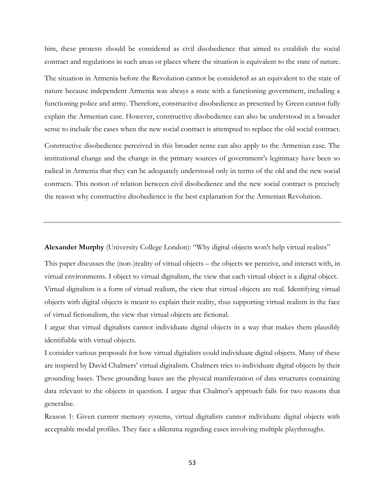him, these protests should be considered as civil disobedience that aimed to establish the social contract and regulations in such areas or places where the situation is equivalent to the state of nature. The situation in Armenia before the Revolution cannot be considered as an equivalent to the state of nature because independent Armenia was always a state with a functioning government, including a functioning police and army. Therefore, constructive disobedience as presented by Green cannot fully explain the Armenian case. However, constructive disobedience can also be understood in a broader sense to include the cases when the new social contract is attempted to replace the old social contract. Constructive disobedience perceived in this broader sense can also apply to the Armenian case. The institutional change and the change in the primary sources of government's legitimacy have been so radical in Armenia that they can be adequately understood only in terms of the old and the new social contracts. This notion of relation between civil disobedience and the new social contract is precisely

the reason why constructive disobedience is the best explanation for the Armenian Revolution.

**Alexander Murphy** (University College London): "Why digital objects won't help virtual realists"

This paper discusses the (non-)reality of virtual objects – the objects we perceive, and interact with, in virtual environments. I object to virtual digitalism, the view that each virtual object is a digital object. Virtual digitalism is a form of virtual realism, the view that virtual objects are real. Identifying virtual objects with digital objects is meant to explain their reality, thus supporting virtual realism in the face of virtual fictionalism, the view that virtual objects are fictional.

I argue that virtual digitalists cannot individuate digital objects in a way that makes them plausibly identifiable with virtual objects.

I consider various proposals for how virtual digitalists could individuate digital objects. Many of these are inspired by David Chalmers' virtual digitalism. Chalmers tries to individuate digital objects by their grounding bases. These grounding bases are the physical manifestation of data structures containing data relevant to the objects in question. I argue that Chalmer's approach fails for two reasons that generalise.

Reason 1: Given current memory systems, virtual digitalists cannot individuate digital objects with acceptable modal profiles. They face a dilemma regarding cases involving multiple playthroughs.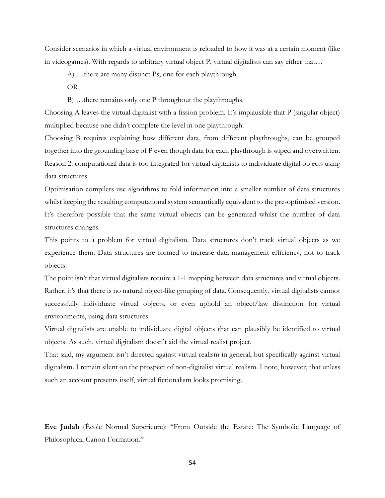Consider scenarios in which a virtual environment is reloaded to how it was at a certain moment (like in videogames). With regards to arbitrary virtual object P, virtual digitalists can say either that…

A) …there are many distinct Ps, one for each playthrough.

OR

B) …there remains only one P throughout the playthroughs.

Choosing A leaves the virtual digitalist with a fission problem. It's implausible that P (singular object) multiplied because one didn't complete the level in one playthrough.

Choosing B requires explaining how different data, from different playthroughs, can be grouped together into the grounding base of P even though data for each playthrough is wiped and overwritten. Reason 2: computational data is too integrated for virtual digitalists to individuate digital objects using data structures.

Optimisation compilers use algorithms to fold information into a smaller number of data structures whilst keeping the resulting computational system semantically equivalent to the pre-optimised version. It's therefore possible that the same virtual objects can be generated whilst the number of data structures changes.

This points to a problem for virtual digitalism. Data structures don't track virtual objects as we experience them. Data structures are formed to increase data management efficiency, not to track objects.

The point isn't that virtual digitalists require a 1-1 mapping between data structures and virtual objects. Rather, it's that there is no natural object-like grouping of data. Consequently, virtual digitalists cannot successfully individuate virtual objects, or even uphold an object/law distinction for virtual environments, using data structures.

Virtual digitalists are unable to individuate digital objects that can plausibly be identified to virtual objects. As such, virtual digitalism doesn't aid the virtual realist project.

That said, my argument isn't directed against virtual realism in general, but specifically against virtual digitalism. I remain silent on the prospect of non-digitalist virtual realism. I note, however, that unless such an account presents itself, virtual fictionalism looks promising.

**Eve Judah** (École Normal Supérieure): "From Outside the Estate: The Symbolic Language of Philosophical Canon-Formation."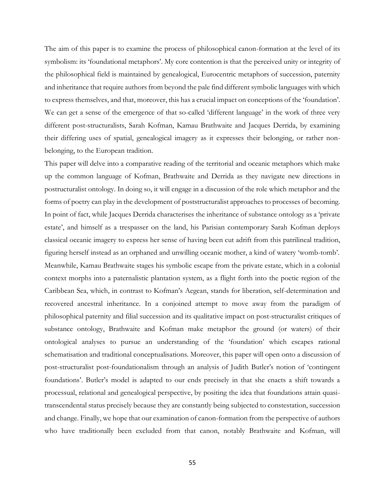The aim of this paper is to examine the process of philosophical canon-formation at the level of its symbolism: its 'foundational metaphors'. My core contention is that the perceived unity or integrity of the philosophical field is maintained by genealogical, Eurocentric metaphors of succession, paternity and inheritance that require authors from beyond the pale find different symbolic languages with which to express themselves, and that, moreover, this has a crucial impact on conceptions of the 'foundation'. We can get a sense of the emergence of that so-called 'different language' in the work of three very different post-structuralists, Sarah Kofman, Kamau Brathwaite and Jacques Derrida, by examining their differing uses of spatial, genealogical imagery as it expresses their belonging, or rather nonbelonging, to the European tradition.

This paper will delve into a comparative reading of the territorial and oceanic metaphors which make up the common language of Kofman, Brathwaite and Derrida as they navigate new directions in postructuralist ontology. In doing so, it will engage in a discussion of the role which metaphor and the forms of poetry can play in the development of poststructuralist approaches to processes of becoming. In point of fact, while Jacques Derrida characterises the inheritance of substance ontology as a 'private estate', and himself as a trespasser on the land, his Parisian contemporary Sarah Kofman deploys classical oceanic imagery to express her sense of having been cut adrift from this patrilineal tradition, figuring herself instead as an orphaned and unwilling oceanic mother, a kind of watery 'womb-tomb'. Meanwhile, Kamau Brathwaite stages his symbolic escape from the private estate, which in a colonial context morphs into a paternalistic plantation system, as a flight forth into the poetic region of the Caribbean Sea, which, in contrast to Kofman's Aegean, stands for liberation, self-determination and recovered ancestral inheritance. In a conjoined attempt to move away from the paradigm of philosophical paternity and filial succession and its qualitative impact on post-structuralist critiques of substance ontology, Brathwaite and Kofman make metaphor the ground (or waters) of their ontological analyses to pursue an understanding of the 'foundation' which escapes rational schematisation and traditional conceptualisations. Moreover, this paper will open onto a discussion of post-structuralist post-foundationalism through an analysis of Judith Butler's notion of 'contingent foundations'. Butler's model is adapted to our ends precisely in that she enacts a shift towards a processual, relational and genealogical perspective, by positing the idea that foundations attain quasitranscendental status precisely because they are constantly being subjected to constestation, succession and change. Finally, we hope that our examination of canon-formation from the perspective of authors who have traditionally been excluded from that canon, notably Brathwaite and Kofman, will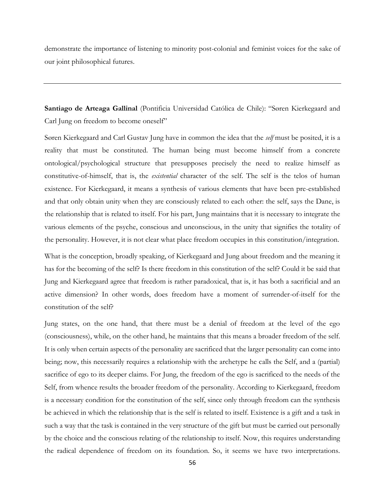demonstrate the importance of listening to minority post-colonial and feminist voices for the sake of our joint philosophical futures.

**Santiago de Arteaga Gallinal** (Pontificia Universidad Católica de Chile): "Søren Kierkegaard and Carl Jung on freedom to become oneself"

Søren Kierkegaard and Carl Gustav Jung have in common the idea that the *self* must be posited, it is a reality that must be constituted. The human being must become himself from a concrete ontological/psychological structure that presupposes precisely the need to realize himself as constitutive-of-himself, that is, the *existential* character of the self. The self is the telos of human existence. For Kierkegaard, it means a synthesis of various elements that have been pre-established and that only obtain unity when they are consciously related to each other: the self, says the Dane, is the relationship that is related to itself. For his part, Jung maintains that it is necessary to integrate the various elements of the psyche, conscious and unconscious, in the unity that signifies the totality of the personality. However, it is not clear what place freedom occupies in this constitution/integration.

What is the conception, broadly speaking, of Kierkegaard and Jung about freedom and the meaning it has for the becoming of the self? Is there freedom in this constitution of the self? Could it be said that Jung and Kierkegaard agree that freedom is rather paradoxical, that is, it has both a sacrificial and an active dimension? In other words, does freedom have a moment of surrender-of-itself for the constitution of the self?

Jung states, on the one hand, that there must be a denial of freedom at the level of the ego (consciousness), while, on the other hand, he maintains that this means a broader freedom of the self. It is only when certain aspects of the personality are sacrificed that the larger personality can come into being; now, this necessarily requires a relationship with the archetype he calls the Self, and a (partial) sacrifice of ego to its deeper claims. For Jung, the freedom of the ego is sacrificed to the needs of the Self, from whence results the broader freedom of the personality. According to Kierkegaard, freedom is a necessary condition for the constitution of the self, since only through freedom can the synthesis be achieved in which the relationship that is the self is related to itself. Existence is a gift and a task in such a way that the task is contained in the very structure of the gift but must be carried out personally by the choice and the conscious relating of the relationship to itself. Now, this requires understanding the radical dependence of freedom on its foundation. So, it seems we have two interpretations.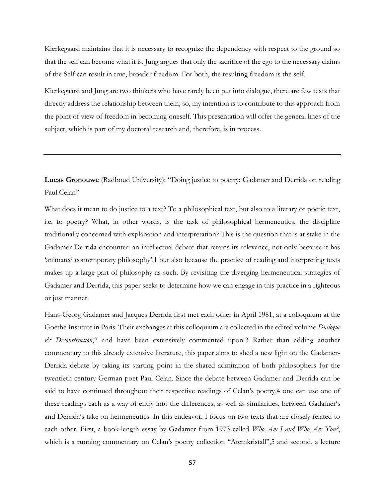Kierkegaard maintains that it is necessary to recognize the dependency with respect to the ground so that the self can become what it is. Jung argues that only the sacrifice of the ego to the necessary claims of the Self can result in true, broader freedom. For both, the resulting freedom is the self.

Kierkegaard and Jung are two thinkers who have rarely been put into dialogue, there are few texts that directly address the relationship between them; so, my intention is to contribute to this approach from the point of view of freedom in becoming oneself. This presentation will offer the general lines of the subject, which is part of my doctoral research and, therefore, is in process.

**Lucas Gronouwe** (Radboud University): "Doing justice to poetry: Gadamer and Derrida on reading Paul Celan"

What does it mean to do justice to a text? To a philosophical text, but also to a literary or poetic text, i.e. to poetry? What, in other words, is the task of philosophical hermeneutics, the discipline traditionally concerned with explanation and interpretation? This is the question that is at stake in the Gadamer-Derrida encounter: an intellectual debate that retains its relevance, not only because it has 'animated contemporary philosophy',1 but also because the practice of reading and interpreting texts makes up a large part of philosophy as such. By revisiting the diverging hermeneutical strategies of Gadamer and Derrida, this paper seeks to determine how we can engage in this practice in a righteous or just manner.

Hans-Georg Gadamer and Jacques Derrida first met each other in April 1981, at a colloquium at the Goethe Institute in Paris. Their exchanges at this colloquium are collected in the edited volume *Dialogue & Deconstruction*,2 and have been extensively commented upon.3 Rather than adding another commentary to this already extensive literature, this paper aims to shed a new light on the Gadamer-Derrida debate by taking its starting point in the shared admiration of both philosophers for the twentieth century German poet Paul Celan. Since the debate between Gadamer and Derrida can be said to have continued throughout their respective readings of Celan's poetry,4 one can use one of these readings each as a way of entry into the differences, as well as similarities, between Gadamer's and Derrida's take on hermeneutics. In this endeavor, I focus on two texts that are closely related to each other. First, a book-length essay by Gadamer from 1973 called *Who Am I and Who Are You?*, which is a running commentary on Celan's poetry collection "Atemkristall",5 and second, a lecture